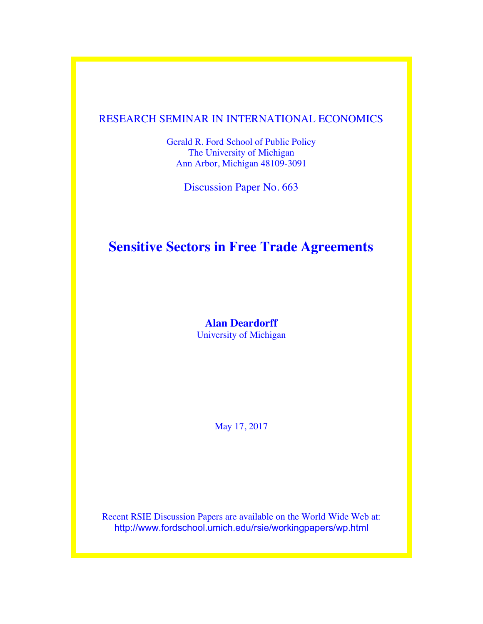### RESEARCH SEMINAR IN INTERNATIONAL ECONOMICS

Gerald R. Ford School of Public Policy The University of Michigan Ann Arbor, Michigan 48109-3091

Discussion Paper No. 663

## **Sensitive Sectors in Free Trade Agreements**

#### **Alan Deardorff** University of Michigan

May 17, 2017

Recent RSIE Discussion Papers are available on the World Wide Web at: http://www.fordschool.umich.edu/rsie/workingpapers/wp.html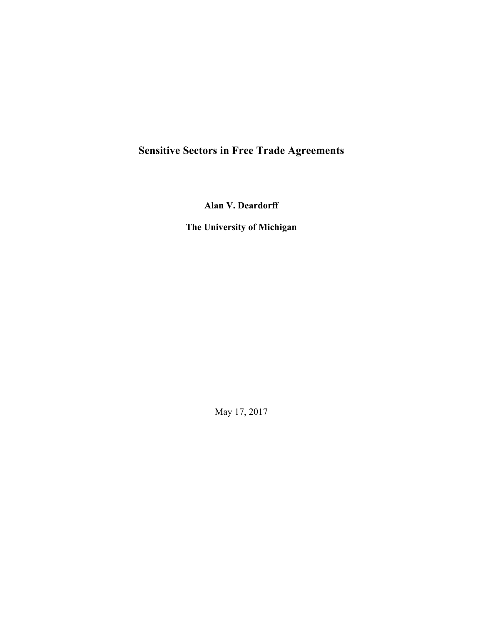# **Sensitive Sectors in Free Trade Agreements**

**Alan V. Deardorff**

**The University of Michigan**

May 17, 2017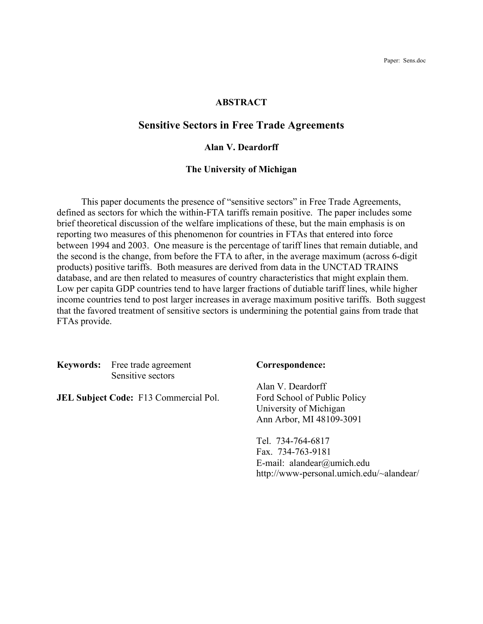Paper: Sens.doc

#### **ABSTRACT**

#### **Sensitive Sectors in Free Trade Agreements**

#### **Alan V. Deardorff**

#### **The University of Michigan**

This paper documents the presence of "sensitive sectors" in Free Trade Agreements, defined as sectors for which the within-FTA tariffs remain positive. The paper includes some brief theoretical discussion of the welfare implications of these, but the main emphasis is on reporting two measures of this phenomenon for countries in FTAs that entered into force between 1994 and 2003. One measure is the percentage of tariff lines that remain dutiable, and the second is the change, from before the FTA to after, in the average maximum (across 6-digit products) positive tariffs. Both measures are derived from data in the UNCTAD TRAINS database, and are then related to measures of country characteristics that might explain them. Low per capita GDP countries tend to have larger fractions of dutiable tariff lines, while higher income countries tend to post larger increases in average maximum positive tariffs. Both suggest that the favored treatment of sensitive sectors is undermining the potential gains from trade that FTAs provide.

**Keywords:** Free trade agreement **Correspondence:** Sensitive sectors

**JEL Subject Code:** F13 Commercial Pol. Ford School of Public Policy

Alan V. Deardorff University of Michigan Ann Arbor, MI 48109-3091

Tel. 734-764-6817 Fax. 734-763-9181 E-mail: alandear@umich.edu http://www-personal.umich.edu/~alandear/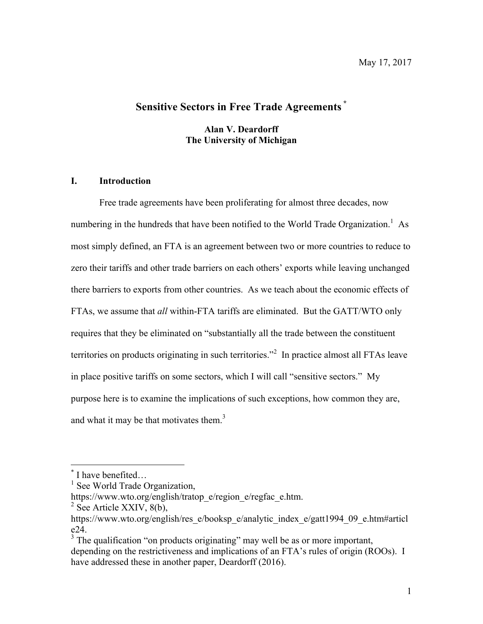### **Sensitive Sectors in Free Trade Agreements \***

**Alan V. Deardorff The University of Michigan**

#### **I. Introduction**

Free trade agreements have been proliferating for almost three decades, now numbering in the hundreds that have been notified to the World Trade Organization.<sup>1</sup> As most simply defined, an FTA is an agreement between two or more countries to reduce to zero their tariffs and other trade barriers on each others' exports while leaving unchanged there barriers to exports from other countries. As we teach about the economic effects of FTAs, we assume that *all* within-FTA tariffs are eliminated. But the GATT/WTO only requires that they be eliminated on "substantially all the trade between the constituent territories on products originating in such territories."<sup>2</sup> In practice almost all FTAs leave in place positive tariffs on some sectors, which I will call "sensitive sectors." My purpose here is to examine the implications of such exceptions, how common they are, and what it may be that motivates them. $3$ 

I have benefited…

 $<sup>1</sup>$  See World Trade Organization,</sup>

https://www.wto.org/english/tratop\_e/region\_e/regfac\_e.htm.<br><sup>2</sup> See Article XXIV, 8(b),

https://www.wto.org/english/res\_e/booksp\_e/analytic\_index\_e/gatt1994\_09\_e.htm#articl

 $3$  The qualification "on products originating" may well be as or more important, depending on the restrictiveness and implications of an FTA's rules of origin (ROOs). I have addressed these in another paper, Deardorff (2016).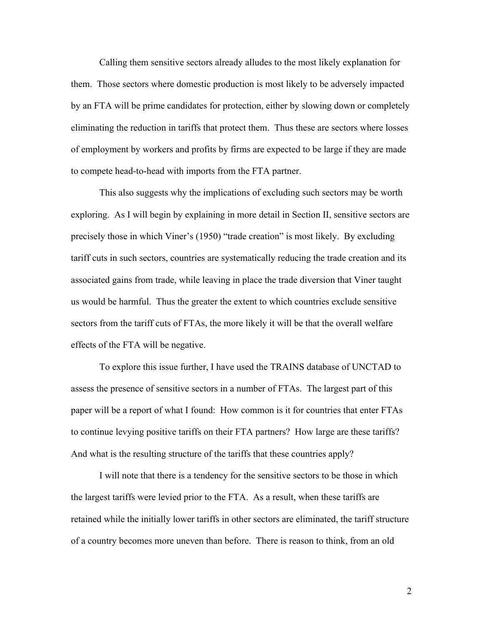Calling them sensitive sectors already alludes to the most likely explanation for them. Those sectors where domestic production is most likely to be adversely impacted by an FTA will be prime candidates for protection, either by slowing down or completely eliminating the reduction in tariffs that protect them. Thus these are sectors where losses of employment by workers and profits by firms are expected to be large if they are made to compete head-to-head with imports from the FTA partner.

This also suggests why the implications of excluding such sectors may be worth exploring. As I will begin by explaining in more detail in Section II, sensitive sectors are precisely those in which Viner's (1950) "trade creation" is most likely. By excluding tariff cuts in such sectors, countries are systematically reducing the trade creation and its associated gains from trade, while leaving in place the trade diversion that Viner taught us would be harmful. Thus the greater the extent to which countries exclude sensitive sectors from the tariff cuts of FTAs, the more likely it will be that the overall welfare effects of the FTA will be negative.

To explore this issue further, I have used the TRAINS database of UNCTAD to assess the presence of sensitive sectors in a number of FTAs. The largest part of this paper will be a report of what I found: How common is it for countries that enter FTAs to continue levying positive tariffs on their FTA partners? How large are these tariffs? And what is the resulting structure of the tariffs that these countries apply?

I will note that there is a tendency for the sensitive sectors to be those in which the largest tariffs were levied prior to the FTA. As a result, when these tariffs are retained while the initially lower tariffs in other sectors are eliminated, the tariff structure of a country becomes more uneven than before. There is reason to think, from an old

2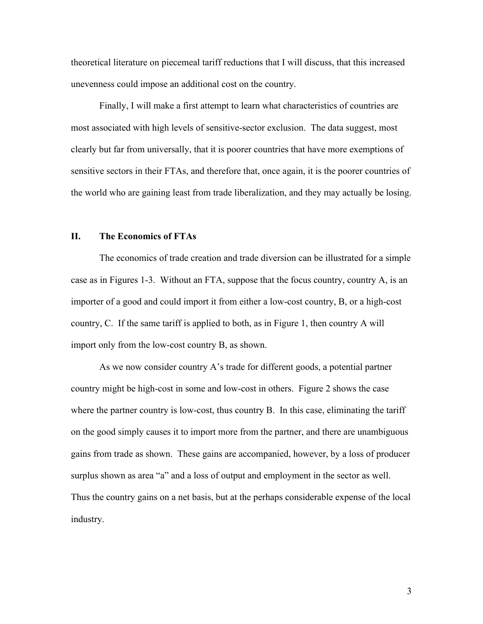theoretical literature on piecemeal tariff reductions that I will discuss, that this increased unevenness could impose an additional cost on the country.

Finally, I will make a first attempt to learn what characteristics of countries are most associated with high levels of sensitive-sector exclusion. The data suggest, most clearly but far from universally, that it is poorer countries that have more exemptions of sensitive sectors in their FTAs, and therefore that, once again, it is the poorer countries of the world who are gaining least from trade liberalization, and they may actually be losing.

#### **II. The Economics of FTAs**

The economics of trade creation and trade diversion can be illustrated for a simple case as in Figures 1-3. Without an FTA, suppose that the focus country, country A, is an importer of a good and could import it from either a low-cost country, B, or a high-cost country, C. If the same tariff is applied to both, as in Figure 1, then country A will import only from the low-cost country B, as shown.

As we now consider country A's trade for different goods, a potential partner country might be high-cost in some and low-cost in others. Figure 2 shows the case where the partner country is low-cost, thus country B. In this case, eliminating the tariff on the good simply causes it to import more from the partner, and there are unambiguous gains from trade as shown. These gains are accompanied, however, by a loss of producer surplus shown as area "a" and a loss of output and employment in the sector as well. Thus the country gains on a net basis, but at the perhaps considerable expense of the local industry.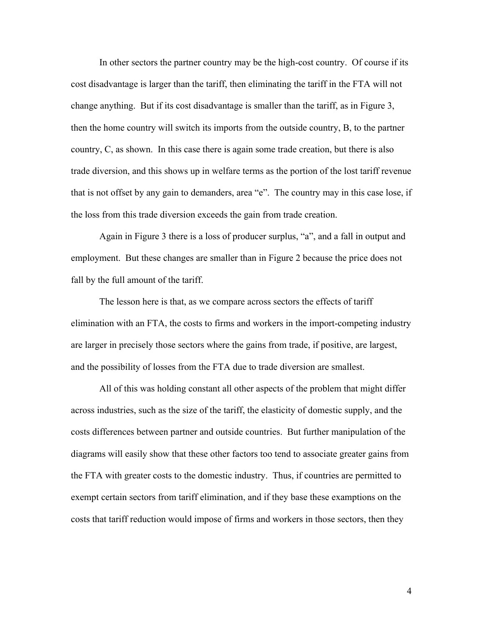In other sectors the partner country may be the high-cost country. Of course if its cost disadvantage is larger than the tariff, then eliminating the tariff in the FTA will not change anything. But if its cost disadvantage is smaller than the tariff, as in Figure 3, then the home country will switch its imports from the outside country, B, to the partner country, C, as shown. In this case there is again some trade creation, but there is also trade diversion, and this shows up in welfare terms as the portion of the lost tariff revenue that is not offset by any gain to demanders, area "e". The country may in this case lose, if the loss from this trade diversion exceeds the gain from trade creation.

Again in Figure 3 there is a loss of producer surplus, "a", and a fall in output and employment. But these changes are smaller than in Figure 2 because the price does not fall by the full amount of the tariff.

The lesson here is that, as we compare across sectors the effects of tariff elimination with an FTA, the costs to firms and workers in the import-competing industry are larger in precisely those sectors where the gains from trade, if positive, are largest, and the possibility of losses from the FTA due to trade diversion are smallest.

All of this was holding constant all other aspects of the problem that might differ across industries, such as the size of the tariff, the elasticity of domestic supply, and the costs differences between partner and outside countries. But further manipulation of the diagrams will easily show that these other factors too tend to associate greater gains from the FTA with greater costs to the domestic industry. Thus, if countries are permitted to exempt certain sectors from tariff elimination, and if they base these examptions on the costs that tariff reduction would impose of firms and workers in those sectors, then they

4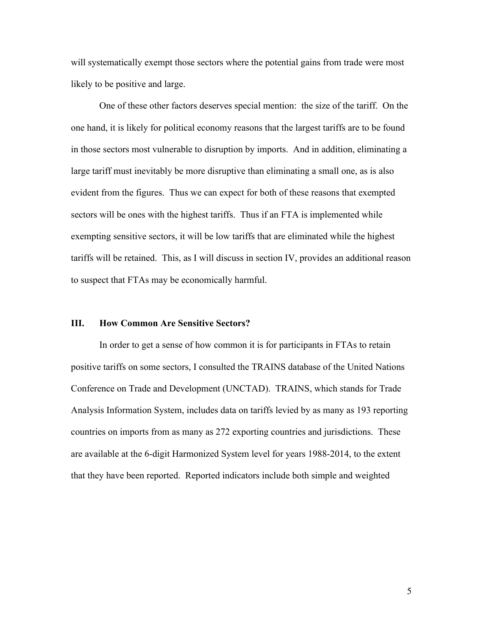will systematically exempt those sectors where the potential gains from trade were most likely to be positive and large.

One of these other factors deserves special mention: the size of the tariff. On the one hand, it is likely for political economy reasons that the largest tariffs are to be found in those sectors most vulnerable to disruption by imports. And in addition, eliminating a large tariff must inevitably be more disruptive than eliminating a small one, as is also evident from the figures. Thus we can expect for both of these reasons that exempted sectors will be ones with the highest tariffs. Thus if an FTA is implemented while exempting sensitive sectors, it will be low tariffs that are eliminated while the highest tariffs will be retained. This, as I will discuss in section IV, provides an additional reason to suspect that FTAs may be economically harmful.

#### **III. How Common Are Sensitive Sectors?**

In order to get a sense of how common it is for participants in FTAs to retain positive tariffs on some sectors, I consulted the TRAINS database of the United Nations Conference on Trade and Development (UNCTAD). TRAINS, which stands for Trade Analysis Information System, includes data on tariffs levied by as many as 193 reporting countries on imports from as many as 272 exporting countries and jurisdictions. These are available at the 6-digit Harmonized System level for years 1988-2014, to the extent that they have been reported. Reported indicators include both simple and weighted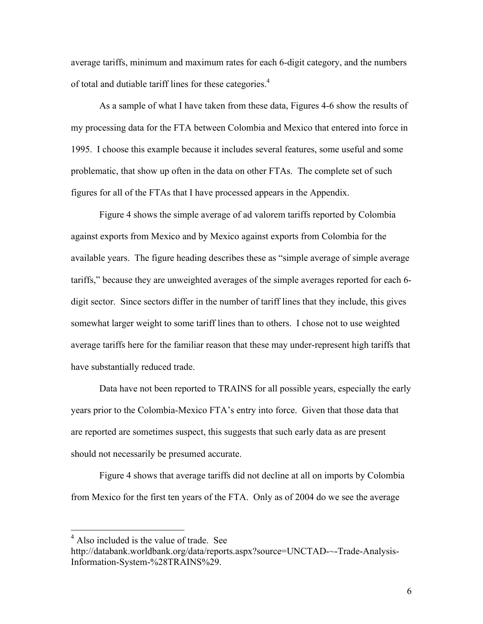average tariffs, minimum and maximum rates for each 6-digit category, and the numbers of total and dutiable tariff lines for these categories.<sup>4</sup>

As a sample of what I have taken from these data, Figures 4-6 show the results of my processing data for the FTA between Colombia and Mexico that entered into force in 1995. I choose this example because it includes several features, some useful and some problematic, that show up often in the data on other FTAs. The complete set of such figures for all of the FTAs that I have processed appears in the Appendix.

Figure 4 shows the simple average of ad valorem tariffs reported by Colombia against exports from Mexico and by Mexico against exports from Colombia for the available years. The figure heading describes these as "simple average of simple average tariffs," because they are unweighted averages of the simple averages reported for each 6 digit sector. Since sectors differ in the number of tariff lines that they include, this gives somewhat larger weight to some tariff lines than to others. I chose not to use weighted average tariffs here for the familiar reason that these may under-represent high tariffs that have substantially reduced trade.

Data have not been reported to TRAINS for all possible years, especially the early years prior to the Colombia-Mexico FTA's entry into force. Given that those data that are reported are sometimes suspect, this suggests that such early data as are present should not necessarily be presumed accurate.

Figure 4 shows that average tariffs did not decline at all on imports by Colombia from Mexico for the first ten years of the FTA. Only as of 2004 do we see the average

<sup>&</sup>lt;sup>4</sup> Also included is the value of trade. See

http://databank.worldbank.org/data/reports.aspx?source=UNCTAD-~-Trade-Analysis-Information-System-%28TRAINS%29.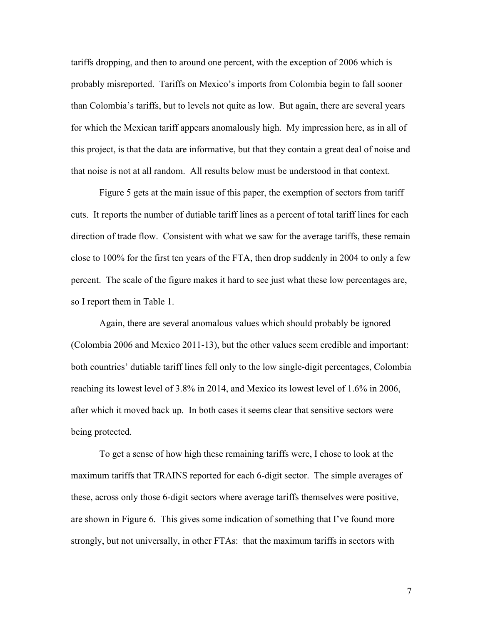tariffs dropping, and then to around one percent, with the exception of 2006 which is probably misreported. Tariffs on Mexico's imports from Colombia begin to fall sooner than Colombia's tariffs, but to levels not quite as low. But again, there are several years for which the Mexican tariff appears anomalously high. My impression here, as in all of this project, is that the data are informative, but that they contain a great deal of noise and that noise is not at all random. All results below must be understood in that context.

Figure 5 gets at the main issue of this paper, the exemption of sectors from tariff cuts. It reports the number of dutiable tariff lines as a percent of total tariff lines for each direction of trade flow. Consistent with what we saw for the average tariffs, these remain close to 100% for the first ten years of the FTA, then drop suddenly in 2004 to only a few percent. The scale of the figure makes it hard to see just what these low percentages are, so I report them in Table 1.

Again, there are several anomalous values which should probably be ignored (Colombia 2006 and Mexico 2011-13), but the other values seem credible and important: both countries' dutiable tariff lines fell only to the low single-digit percentages, Colombia reaching its lowest level of 3.8% in 2014, and Mexico its lowest level of 1.6% in 2006, after which it moved back up. In both cases it seems clear that sensitive sectors were being protected.

To get a sense of how high these remaining tariffs were, I chose to look at the maximum tariffs that TRAINS reported for each 6-digit sector. The simple averages of these, across only those 6-digit sectors where average tariffs themselves were positive, are shown in Figure 6. This gives some indication of something that I've found more strongly, but not universally, in other FTAs: that the maximum tariffs in sectors with

7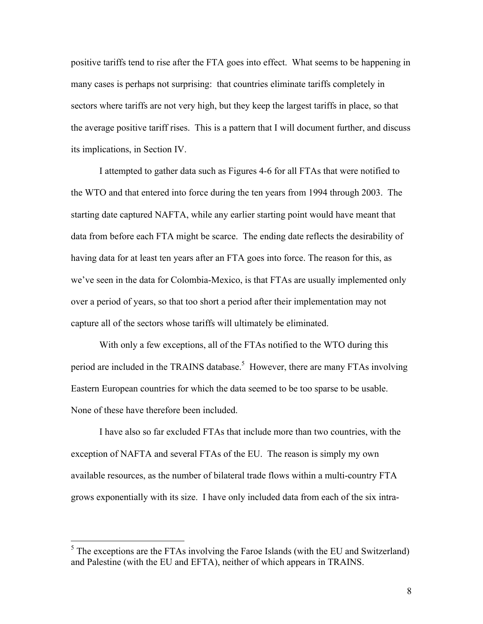positive tariffs tend to rise after the FTA goes into effect. What seems to be happening in many cases is perhaps not surprising: that countries eliminate tariffs completely in sectors where tariffs are not very high, but they keep the largest tariffs in place, so that the average positive tariff rises. This is a pattern that I will document further, and discuss its implications, in Section IV.

I attempted to gather data such as Figures 4-6 for all FTAs that were notified to the WTO and that entered into force during the ten years from 1994 through 2003. The starting date captured NAFTA, while any earlier starting point would have meant that data from before each FTA might be scarce. The ending date reflects the desirability of having data for at least ten years after an FTA goes into force. The reason for this, as we've seen in the data for Colombia-Mexico, is that FTAs are usually implemented only over a period of years, so that too short a period after their implementation may not capture all of the sectors whose tariffs will ultimately be eliminated.

With only a few exceptions, all of the FTAs notified to the WTO during this period are included in the TRAINS database.<sup>5</sup> However, there are many FTAs involving Eastern European countries for which the data seemed to be too sparse to be usable. None of these have therefore been included.

I have also so far excluded FTAs that include more than two countries, with the exception of NAFTA and several FTAs of the EU. The reason is simply my own available resources, as the number of bilateral trade flows within a multi-country FTA grows exponentially with its size. I have only included data from each of the six intra-

 $<sup>5</sup>$  The exceptions are the FTAs involving the Faroe Islands (with the EU and Switzerland)</sup> and Palestine (with the EU and EFTA), neither of which appears in TRAINS.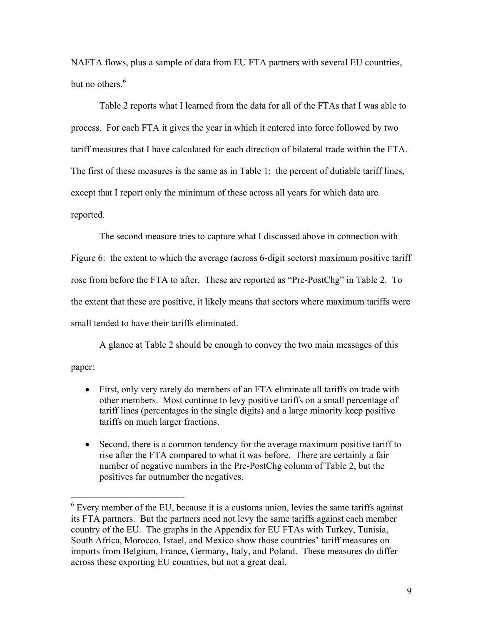NAFTA flows, plus a sample of data from EU FTA partners with several EU countries, but no others. 6

Table 2 reports what I learned from the data for all of the FTAs that I was able to process. For each FTA it gives the year in which it entered into force followed by two tariff measures that I have calculated for each direction of bilateral trade within the FTA. The first of these measures is the same as in Table 1: the percent of dutiable tariff lines, except that I report only the minimum of these across all years for which data are reported.

The second measure tries to capture what I discussed above in connection with Figure 6: the extent to which the average (across 6-digit sectors) maximum positive tariff rose from before the FTA to after. These are reported as "Pre-PostChg" in Table 2. To the extent that these are positive, it likely means that sectors where maximum tariffs were small tended to have their tariffs eliminated.

A glance at Table 2 should be enough to convey the two main messages of this paper:

- First, only very rarely do members of an FTA eliminate all tariffs on trade with other members. Most continue to levy positive tariffs on a small percentage of tariff lines (percentages in the single digits) and a large minority keep positive tariffs on much larger fractions.
- Second, there is a common tendency for the average maximum positive tariff to rise after the FTA compared to what it was before. There are certainly a fair number of negative numbers in the Pre-PostChg column of Table 2, but the positives far outnumber the negatives.

 $6$  Every member of the EU, because it is a customs union, levies the same tariffs against its FTA partners. But the partners need not levy the same tariffs against each member country of the EU. The graphs in the Appendix for EU FTAs with Turkey, Tunisia, South Africa, Morocco, Israel, and Mexico show those countries' tariff measures on imports from Belgium, France, Germany, Italy, and Poland. These measures do differ across these exporting EU countries, but not a great deal.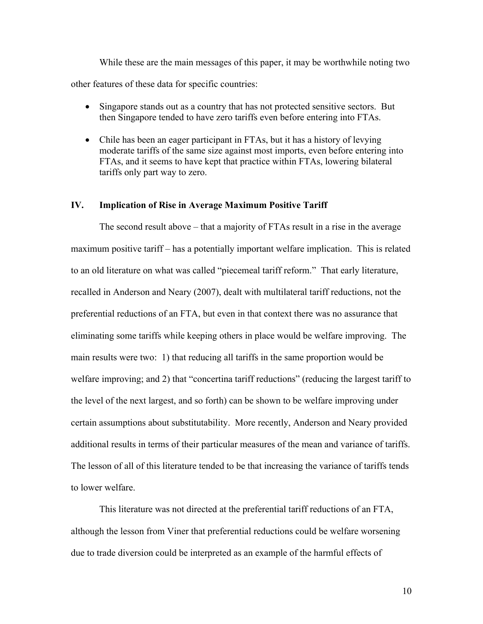While these are the main messages of this paper, it may be worthwhile noting two other features of these data for specific countries:

- Singapore stands out as a country that has not protected sensitive sectors. But then Singapore tended to have zero tariffs even before entering into FTAs.
- Chile has been an eager participant in FTAs, but it has a history of levying moderate tariffs of the same size against most imports, even before entering into FTAs, and it seems to have kept that practice within FTAs, lowering bilateral tariffs only part way to zero.

#### **IV. Implication of Rise in Average Maximum Positive Tariff**

The second result above – that a majority of FTAs result in a rise in the average maximum positive tariff – has a potentially important welfare implication. This is related to an old literature on what was called "piecemeal tariff reform." That early literature, recalled in Anderson and Neary (2007), dealt with multilateral tariff reductions, not the preferential reductions of an FTA, but even in that context there was no assurance that eliminating some tariffs while keeping others in place would be welfare improving. The main results were two: 1) that reducing all tariffs in the same proportion would be welfare improving; and 2) that "concertina tariff reductions" (reducing the largest tariff to the level of the next largest, and so forth) can be shown to be welfare improving under certain assumptions about substitutability. More recently, Anderson and Neary provided additional results in terms of their particular measures of the mean and variance of tariffs. The lesson of all of this literature tended to be that increasing the variance of tariffs tends to lower welfare.

This literature was not directed at the preferential tariff reductions of an FTA, although the lesson from Viner that preferential reductions could be welfare worsening due to trade diversion could be interpreted as an example of the harmful effects of

10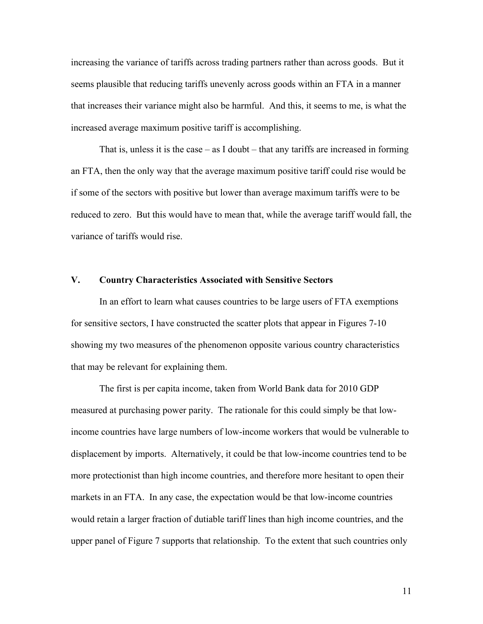increasing the variance of tariffs across trading partners rather than across goods. But it seems plausible that reducing tariffs unevenly across goods within an FTA in a manner that increases their variance might also be harmful. And this, it seems to me, is what the increased average maximum positive tariff is accomplishing.

That is, unless it is the case  $-$  as I doubt  $-$  that any tariffs are increased in forming an FTA, then the only way that the average maximum positive tariff could rise would be if some of the sectors with positive but lower than average maximum tariffs were to be reduced to zero. But this would have to mean that, while the average tariff would fall, the variance of tariffs would rise.

#### **V. Country Characteristics Associated with Sensitive Sectors**

In an effort to learn what causes countries to be large users of FTA exemptions for sensitive sectors, I have constructed the scatter plots that appear in Figures 7-10 showing my two measures of the phenomenon opposite various country characteristics that may be relevant for explaining them.

The first is per capita income, taken from World Bank data for 2010 GDP measured at purchasing power parity. The rationale for this could simply be that lowincome countries have large numbers of low-income workers that would be vulnerable to displacement by imports. Alternatively, it could be that low-income countries tend to be more protectionist than high income countries, and therefore more hesitant to open their markets in an FTA. In any case, the expectation would be that low-income countries would retain a larger fraction of dutiable tariff lines than high income countries, and the upper panel of Figure 7 supports that relationship. To the extent that such countries only

11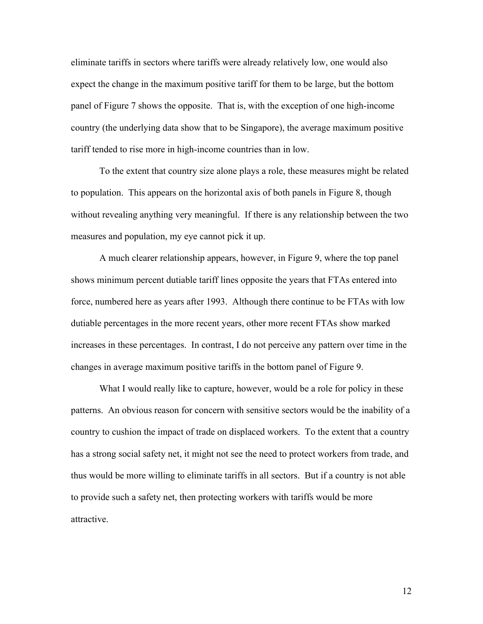eliminate tariffs in sectors where tariffs were already relatively low, one would also expect the change in the maximum positive tariff for them to be large, but the bottom panel of Figure 7 shows the opposite. That is, with the exception of one high-income country (the underlying data show that to be Singapore), the average maximum positive tariff tended to rise more in high-income countries than in low.

To the extent that country size alone plays a role, these measures might be related to population. This appears on the horizontal axis of both panels in Figure 8, though without revealing anything very meaningful. If there is any relationship between the two measures and population, my eye cannot pick it up.

A much clearer relationship appears, however, in Figure 9, where the top panel shows minimum percent dutiable tariff lines opposite the years that FTAs entered into force, numbered here as years after 1993. Although there continue to be FTAs with low dutiable percentages in the more recent years, other more recent FTAs show marked increases in these percentages. In contrast, I do not perceive any pattern over time in the changes in average maximum positive tariffs in the bottom panel of Figure 9.

What I would really like to capture, however, would be a role for policy in these patterns. An obvious reason for concern with sensitive sectors would be the inability of a country to cushion the impact of trade on displaced workers. To the extent that a country has a strong social safety net, it might not see the need to protect workers from trade, and thus would be more willing to eliminate tariffs in all sectors. But if a country is not able to provide such a safety net, then protecting workers with tariffs would be more attractive.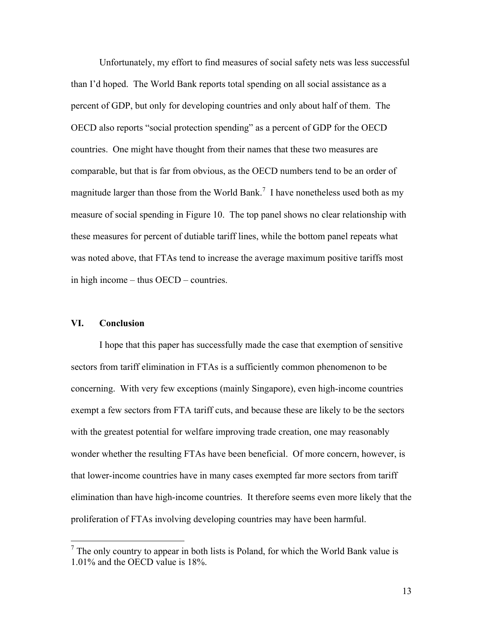Unfortunately, my effort to find measures of social safety nets was less successful than I'd hoped. The World Bank reports total spending on all social assistance as a percent of GDP, but only for developing countries and only about half of them. The OECD also reports "social protection spending" as a percent of GDP for the OECD countries. One might have thought from their names that these two measures are comparable, but that is far from obvious, as the OECD numbers tend to be an order of magnitude larger than those from the World Bank.<sup>7</sup> I have nonetheless used both as my measure of social spending in Figure 10. The top panel shows no clear relationship with these measures for percent of dutiable tariff lines, while the bottom panel repeats what was noted above, that FTAs tend to increase the average maximum positive tariffs most in high income – thus OECD – countries.

#### **VI. Conclusion**

I hope that this paper has successfully made the case that exemption of sensitive sectors from tariff elimination in FTAs is a sufficiently common phenomenon to be concerning. With very few exceptions (mainly Singapore), even high-income countries exempt a few sectors from FTA tariff cuts, and because these are likely to be the sectors with the greatest potential for welfare improving trade creation, one may reasonably wonder whether the resulting FTAs have been beneficial. Of more concern, however, is that lower-income countries have in many cases exempted far more sectors from tariff elimination than have high-income countries. It therefore seems even more likely that the proliferation of FTAs involving developing countries may have been harmful.

 $<sup>7</sup>$  The only country to appear in both lists is Poland, for which the World Bank value is</sup> 1.01% and the OECD value is 18%.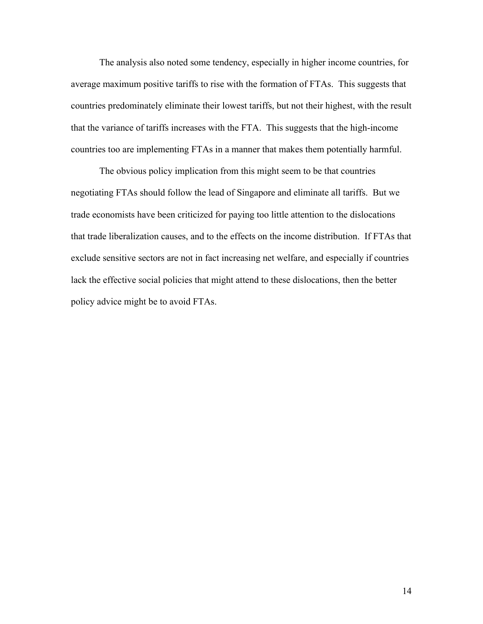The analysis also noted some tendency, especially in higher income countries, for average maximum positive tariffs to rise with the formation of FTAs. This suggests that countries predominately eliminate their lowest tariffs, but not their highest, with the result that the variance of tariffs increases with the FTA. This suggests that the high-income countries too are implementing FTAs in a manner that makes them potentially harmful.

The obvious policy implication from this might seem to be that countries negotiating FTAs should follow the lead of Singapore and eliminate all tariffs. But we trade economists have been criticized for paying too little attention to the dislocations that trade liberalization causes, and to the effects on the income distribution. If FTAs that exclude sensitive sectors are not in fact increasing net welfare, and especially if countries lack the effective social policies that might attend to these dislocations, then the better policy advice might be to avoid FTAs.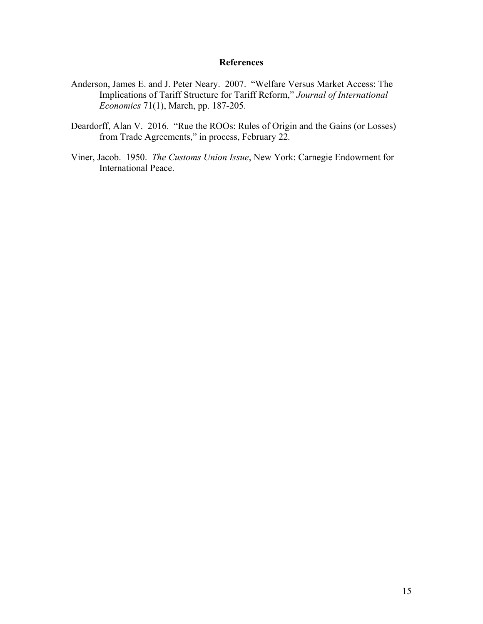#### **References**

- Anderson, James E. and J. Peter Neary. 2007. "Welfare Versus Market Access: The Implications of Tariff Structure for Tariff Reform," *Journal of International Economics* 71(1), March, pp. 187-205.
- Deardorff, Alan V. 2016. "Rue the ROOs: Rules of Origin and the Gains (or Losses) from Trade Agreements," in process, February 22*.*
- Viner, Jacob. 1950. *The Customs Union Issue*, New York: Carnegie Endowment for International Peace.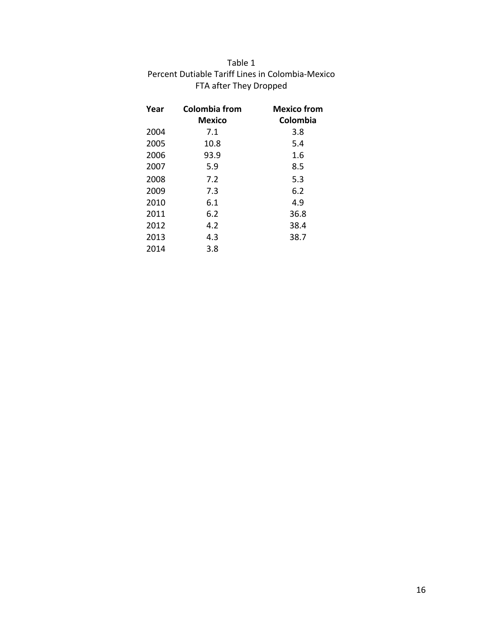| Table 1                                          |
|--------------------------------------------------|
| Percent Dutiable Tariff Lines in Colombia-Mexico |
| FTA after They Dropped                           |

| Year | Colombia from<br>Mexico | <b>Mexico from</b><br>Colombia |
|------|-------------------------|--------------------------------|
| 2004 | 7.1                     | 3.8                            |
| 2005 | 10.8                    | 5.4                            |
| 2006 | 93.9                    | 1.6                            |
| 2007 | 5.9                     | 8.5                            |
| 2008 | 7.2                     | 5.3                            |
| 2009 | 7.3                     | 6.2                            |
| 2010 | 6.1                     | 4.9                            |
| 2011 | 6.2                     | 36.8                           |
| 2012 | 4.2                     | 38.4                           |
| 2013 | 4.3                     | 38.7                           |
| 2014 | 3.8                     |                                |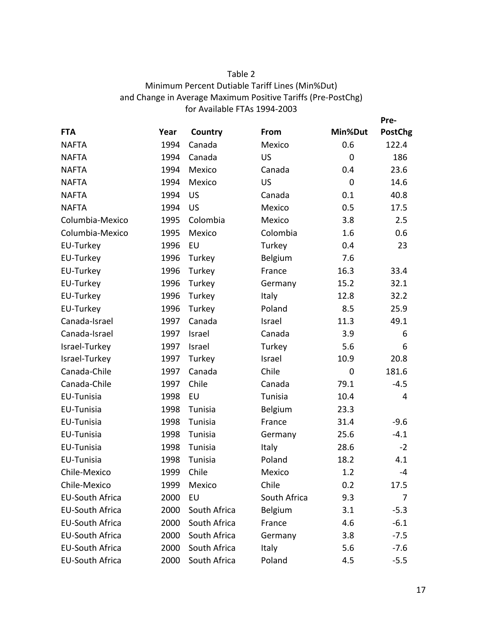#### Table 2 Minimum Percent Dutiable Tariff Lines (Min%Dut) and Change in Average Maximum Positive Tariffs (Pre-PostChg) for Available FTAs 1994-2003

|                        |      |              |              |                | Pre-           |
|------------------------|------|--------------|--------------|----------------|----------------|
| <b>FTA</b>             | Year | Country      | From         | Min%Dut        | <b>PostChg</b> |
| <b>NAFTA</b>           | 1994 | Canada       | Mexico       | 0.6            | 122.4          |
| <b>NAFTA</b>           | 1994 | Canada       | <b>US</b>    | $\overline{0}$ | 186            |
| <b>NAFTA</b>           | 1994 | Mexico       | Canada       | 0.4            | 23.6           |
| <b>NAFTA</b>           | 1994 | Mexico       | US           | $\overline{0}$ | 14.6           |
| <b>NAFTA</b>           | 1994 | US           | Canada       | 0.1            | 40.8           |
| <b>NAFTA</b>           | 1994 | <b>US</b>    | Mexico       | 0.5            | 17.5           |
| Columbia-Mexico        | 1995 | Colombia     | Mexico       | 3.8            | 2.5            |
| Columbia-Mexico        | 1995 | Mexico       | Colombia     | 1.6            | 0.6            |
| EU-Turkey              | 1996 | EU           | Turkey       | 0.4            | 23             |
| EU-Turkey              | 1996 | Turkey       | Belgium      | 7.6            |                |
| EU-Turkey              | 1996 | Turkey       | France       | 16.3           | 33.4           |
| EU-Turkey              | 1996 | Turkey       | Germany      | 15.2           | 32.1           |
| EU-Turkey              | 1996 | Turkey       | Italy        | 12.8           | 32.2           |
| EU-Turkey              | 1996 | Turkey       | Poland       | 8.5            | 25.9           |
| Canada-Israel          | 1997 | Canada       | Israel       | 11.3           | 49.1           |
| Canada-Israel          | 1997 | Israel       | Canada       | 3.9            | 6              |
| Israel-Turkey          | 1997 | Israel       | Turkey       | 5.6            | 6              |
| Israel-Turkey          | 1997 | Turkey       | Israel       | 10.9           | 20.8           |
| Canada-Chile           | 1997 | Canada       | Chile        | $\mathbf 0$    | 181.6          |
| Canada-Chile           | 1997 | Chile        | Canada       | 79.1           | $-4.5$         |
| EU-Tunisia             | 1998 | EU           | Tunisia      | 10.4           | 4              |
| EU-Tunisia             | 1998 | Tunisia      | Belgium      | 23.3           |                |
| EU-Tunisia             | 1998 | Tunisia      | France       | 31.4           | $-9.6$         |
| EU-Tunisia             | 1998 | Tunisia      | Germany      | 25.6           | $-4.1$         |
| EU-Tunisia             | 1998 | Tunisia      | Italy        | 28.6           | $-2$           |
| EU-Tunisia             | 1998 | Tunisia      | Poland       | 18.2           | 4.1            |
| Chile-Mexico           | 1999 | Chile        | Mexico       | 1.2            | -4             |
| Chile-Mexico           | 1999 | Mexico       | Chile        | 0.2            | 17.5           |
| <b>EU-South Africa</b> | 2000 | EU           | South Africa | 9.3            | 7              |
| <b>EU-South Africa</b> | 2000 | South Africa | Belgium      | 3.1            | $-5.3$         |
| <b>EU-South Africa</b> | 2000 | South Africa | France       | 4.6            | $-6.1$         |
| <b>EU-South Africa</b> | 2000 | South Africa | Germany      | 3.8            | $-7.5$         |
| <b>EU-South Africa</b> | 2000 | South Africa | Italy        | 5.6            | $-7.6$         |
| <b>EU-South Africa</b> | 2000 | South Africa | Poland       | 4.5            | $-5.5$         |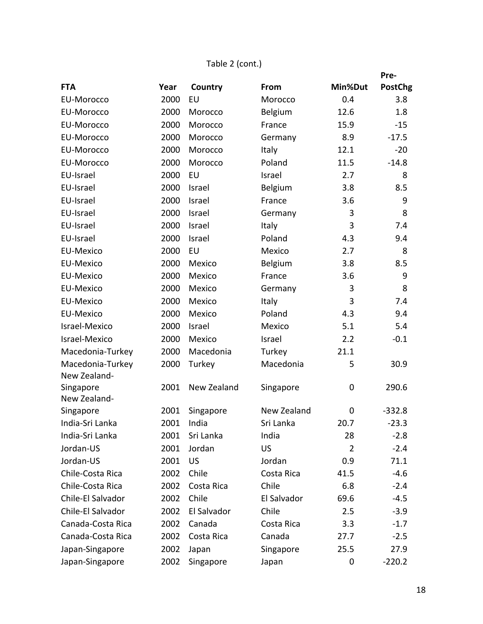### Table 2 (cont.)

|                                  |      |             |             |         | Pre-           |
|----------------------------------|------|-------------|-------------|---------|----------------|
| <b>FTA</b>                       | Year | Country     | From        | Min%Dut | <b>PostChg</b> |
| <b>EU-Morocco</b>                | 2000 | EU          | Morocco     | 0.4     | 3.8            |
| <b>EU-Morocco</b>                | 2000 | Morocco     | Belgium     | 12.6    | 1.8            |
| <b>EU-Morocco</b>                | 2000 | Morocco     | France      | 15.9    | $-15$          |
| <b>EU-Morocco</b>                | 2000 | Morocco     | Germany     | 8.9     | $-17.5$        |
| <b>EU-Morocco</b>                | 2000 | Morocco     | Italy       | 12.1    | $-20$          |
| <b>EU-Morocco</b>                | 2000 | Morocco     | Poland      | 11.5    | $-14.8$        |
| EU-Israel                        | 2000 | EU          | Israel      | 2.7     | 8              |
| EU-Israel                        | 2000 | Israel      | Belgium     | 3.8     | 8.5            |
| EU-Israel                        | 2000 | Israel      | France      | 3.6     | 9              |
| EU-Israel                        | 2000 | Israel      | Germany     | 3       | 8              |
| EU-Israel                        | 2000 | Israel      | Italy       | 3       | 7.4            |
| EU-Israel                        | 2000 | Israel      | Poland      | 4.3     | 9.4            |
| <b>EU-Mexico</b>                 | 2000 | EU          | Mexico      | 2.7     | 8              |
| <b>EU-Mexico</b>                 | 2000 | Mexico      | Belgium     | 3.8     | 8.5            |
| <b>EU-Mexico</b>                 | 2000 | Mexico      | France      | 3.6     | 9              |
| <b>EU-Mexico</b>                 | 2000 | Mexico      | Germany     | 3       | 8              |
| <b>EU-Mexico</b>                 | 2000 | Mexico      | Italy       | 3       | 7.4            |
| <b>EU-Mexico</b>                 | 2000 | Mexico      | Poland      | 4.3     | 9.4            |
| Israel-Mexico                    | 2000 | Israel      | Mexico      | 5.1     | 5.4            |
| Israel-Mexico                    | 2000 | Mexico      | Israel      | 2.2     | $-0.1$         |
| Macedonia-Turkey                 | 2000 | Macedonia   | Turkey      | 21.1    |                |
| Macedonia-Turkey<br>New Zealand- | 2000 | Turkey      | Macedonia   | 5       | 30.9           |
| Singapore<br>New Zealand-        | 2001 | New Zealand | Singapore   | 0       | 290.6          |
| Singapore                        | 2001 | Singapore   | New Zealand | 0       | $-332.8$       |
| India-Sri Lanka                  |      | 2001 India  | Sri Lanka   | 20.7    | $-23.3$        |
| India-Sri Lanka                  | 2001 | Sri Lanka   | India       | 28      | $-2.8$         |
| Jordan-US                        | 2001 | Jordan      | <b>US</b>   | 2       | $-2.4$         |
| Jordan-US                        | 2001 | <b>US</b>   | Jordan      | 0.9     | 71.1           |
| Chile-Costa Rica                 | 2002 | Chile       | Costa Rica  | 41.5    | $-4.6$         |
| Chile-Costa Rica                 | 2002 | Costa Rica  | Chile       | 6.8     | $-2.4$         |
| Chile-El Salvador                | 2002 | Chile       | El Salvador | 69.6    | $-4.5$         |
| Chile-El Salvador                | 2002 | El Salvador | Chile       | 2.5     | $-3.9$         |
| Canada-Costa Rica                | 2002 | Canada      | Costa Rica  | 3.3     | $-1.7$         |
| Canada-Costa Rica                | 2002 | Costa Rica  | Canada      | 27.7    | $-2.5$         |
| Japan-Singapore                  | 2002 | Japan       | Singapore   | 25.5    | 27.9           |
| Japan-Singapore                  | 2002 | Singapore   | Japan       | 0       | $-220.2$       |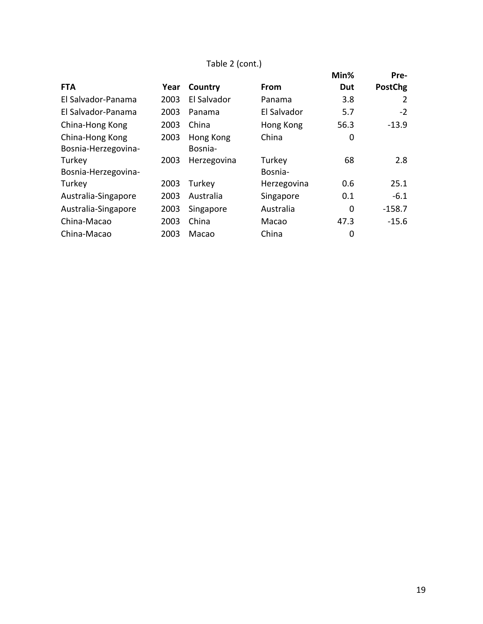### Table 2 (cont.)

|                     |      |             |             | Min% | Pre-           |
|---------------------|------|-------------|-------------|------|----------------|
| <b>FTA</b>          | Year | Country     | From        | Dut  | <b>PostChg</b> |
| El Salvador-Panama  | 2003 | El Salvador | Panama      | 3.8  | 2              |
| El Salvador-Panama  | 2003 | Panama      | El Salvador | 5.7  | $-2$           |
| China-Hong Kong     | 2003 | China       | Hong Kong   | 56.3 | $-13.9$        |
| China-Hong Kong     | 2003 | Hong Kong   | China       | 0    |                |
| Bosnia-Herzegovina- |      | Bosnia-     |             |      |                |
| Turkey              | 2003 | Herzegovina | Turkey      | 68   | 2.8            |
| Bosnia-Herzegovina- |      |             | Bosnia-     |      |                |
| Turkey              | 2003 | Turkey      | Herzegovina | 0.6  | 25.1           |
| Australia-Singapore | 2003 | Australia   | Singapore   | 0.1  | $-6.1$         |
| Australia-Singapore | 2003 | Singapore   | Australia   | 0    | $-158.7$       |
| China-Macao         | 2003 | China       | Macao       | 47.3 | $-15.6$        |
| China-Macao         | 2003 | Macao       | China       | 0    |                |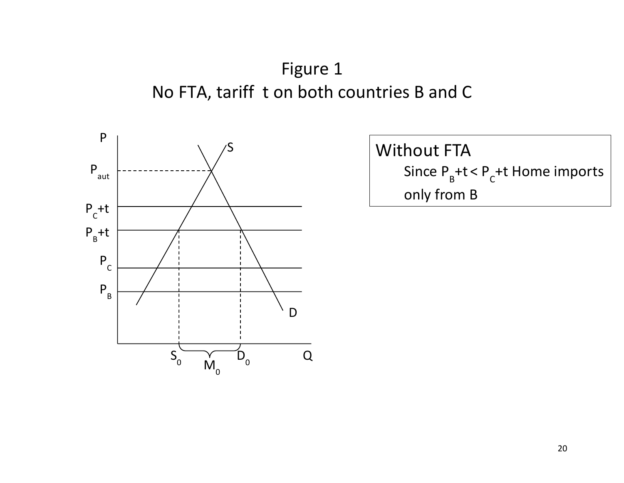Figure 1 No FTA, tariff t on both countries B and C



**Without FTA** Since  $P_B + t < P_C + t$  Home imports only from **B**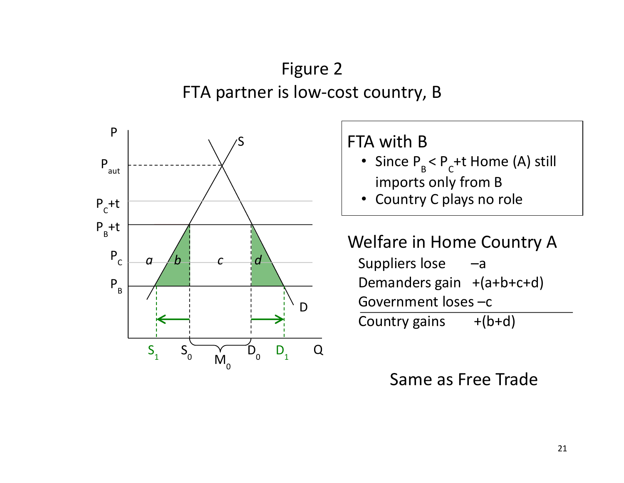# Figure 2 FTA partner is low-cost country, B



FTA with B

- Since  $P_B < P_C + t$  Home (A) still imports only from B
- Country C plays no role

Welfare in Home Country A Suppliers  $lose -a$ Demanders gain  $+(a+b+c+d)$ Government loses -c Country gains  $+(b+d)$ 

# Same as Free Trade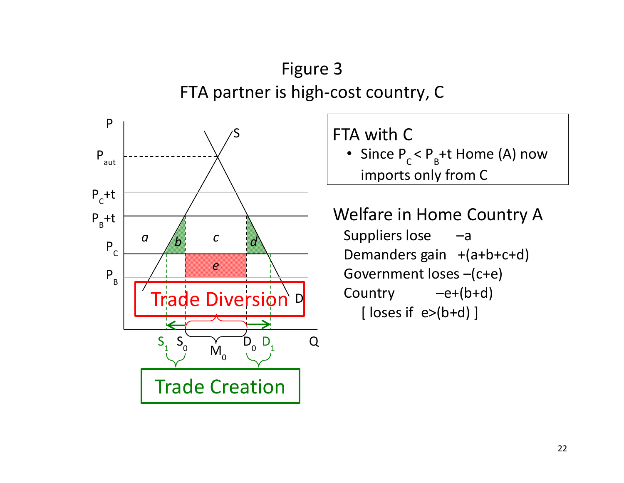# Figure 3 FTA partner is high-cost country, C



FTA with C

• Since  $P_C < P_B + t$  Home (A) now imports only from C

Welfare in Home Country A Suppliers  $lose -a$ Demanders gain  $+(a+b+c+d)$ Government loses -(c+e) Country  $-e+(b+d)$  $[$  loses if  $e$ > $(b+d)$ ]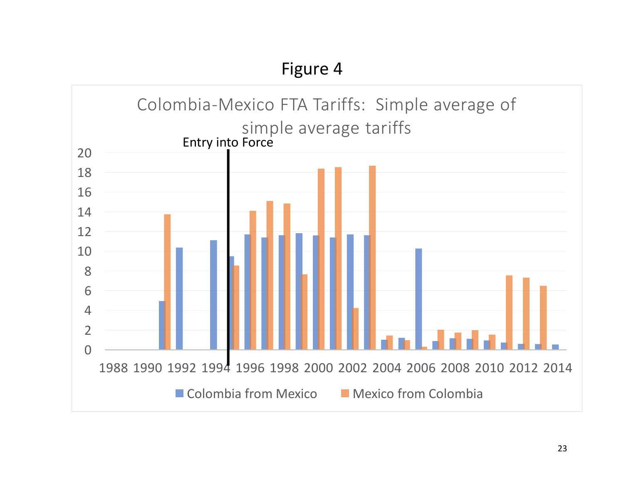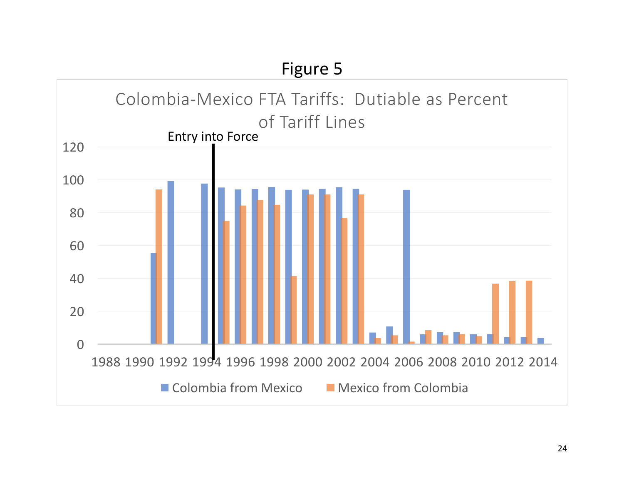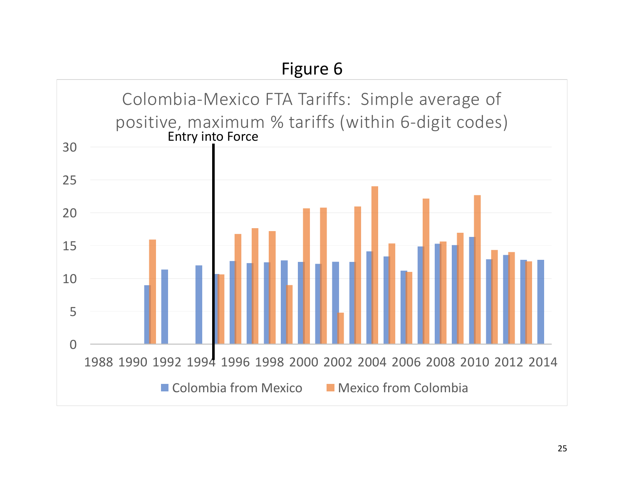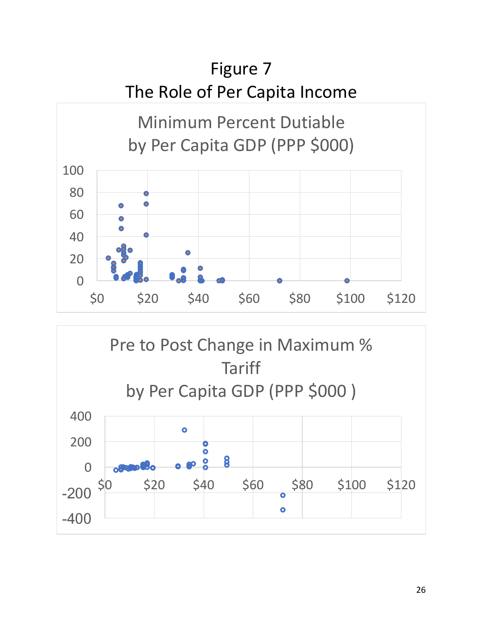

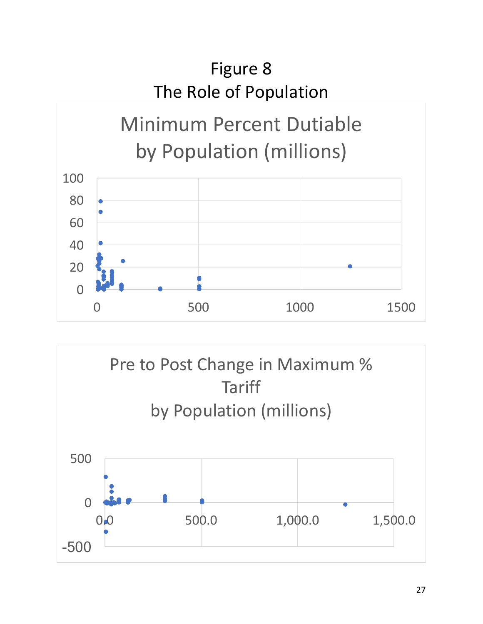

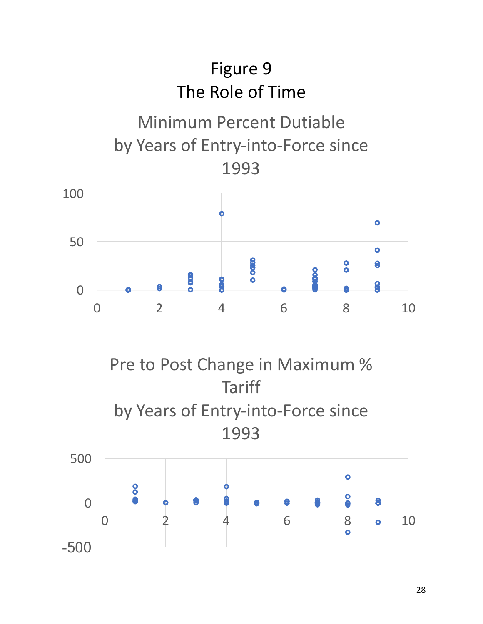

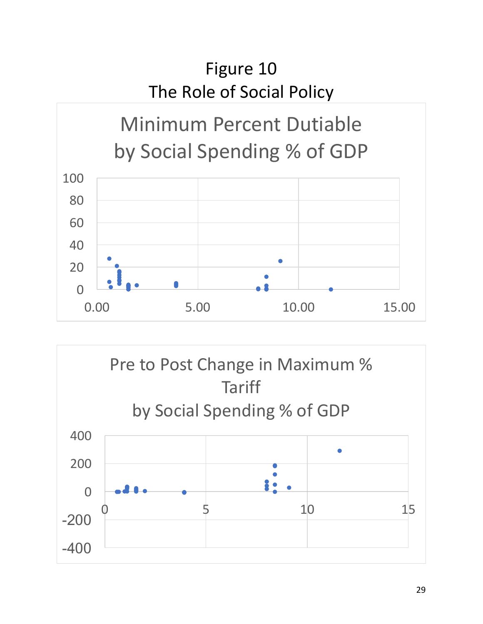# Figure 10 The Role of Social Policy



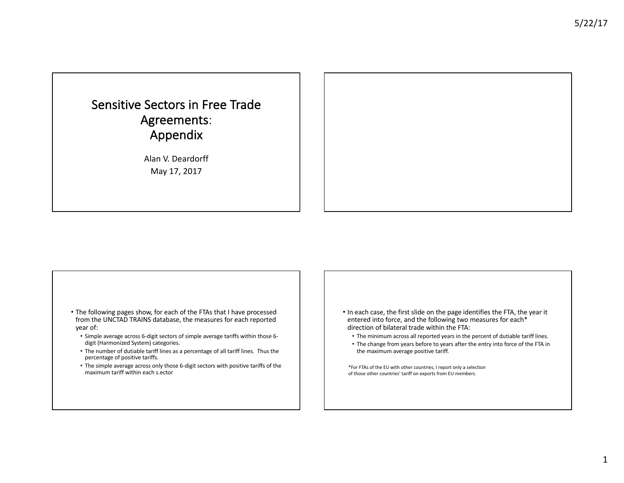## Sensitive Sectors in Free Trade Agreements: Appendix

Alan V. Deardorff May 17, 2017

- The following pages show, for each of the FTAs that I have processed from the UNCTAD TRAINS database, the measures for each reported year of:
	- Simple average across 6-digit sectors of simple average tariffs within those 6digit (Harmonized System) categories.
	- The number of dutiable tariff lines as a percentage of all tariff lines. Thus the percentage of positive tariffs.
	- The simple average across only those 6-digit sectors with positive tariffs of the maximum tariff within each s.ector
- In each case, the first slide on the page identifies the FTA, the year it entered into force, and the following two measures for each\* direction of bilateral trade within the FTA:
	- The minimum across all reported years in the percent of dutiable tariff lines.
	- The change from years before to years after the entry into force of the FTA in the maximum average positive tariff.
- \*For FTAs of the EU with other countries, I report only a selection of those other countries' tariff on exports from EU members.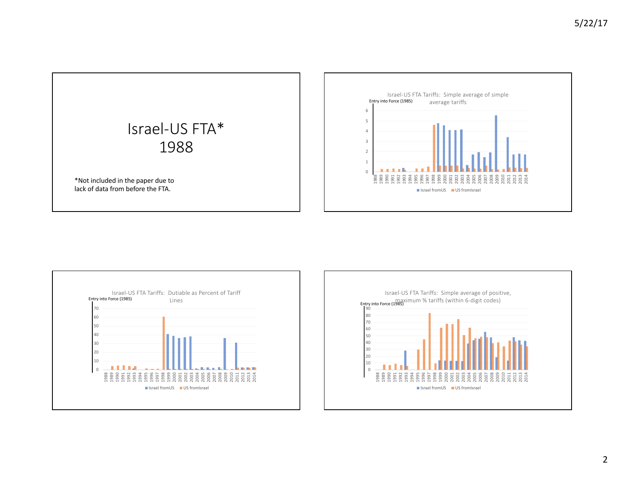



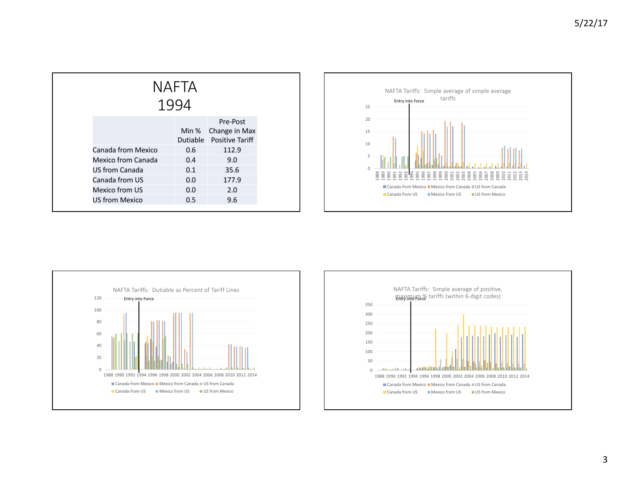| NAFTA<br>1994      |       |                                                       |  |  |
|--------------------|-------|-------------------------------------------------------|--|--|
|                    | Min % | Pre-Post<br>Change in Max<br>Dutiable Positive Tariff |  |  |
| Canada from Mexico | 0.6   | 112.9                                                 |  |  |
| Mexico from Canada | 0.4   | 9.0                                                   |  |  |
| US from Canada     | 0.1   | 35.6                                                  |  |  |
| Canada from US     | 0.0   | 177.9                                                 |  |  |
| Mexico from US     | 0.0   | 2.0                                                   |  |  |
| US from Mexico     | 0.5   | 9.6                                                   |  |  |





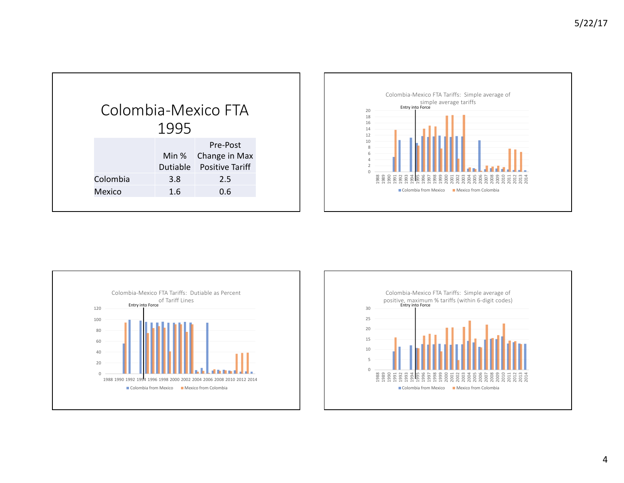|          |      | Colombia-Mexico FTA                                         |
|----------|------|-------------------------------------------------------------|
|          | 1995 |                                                             |
|          |      | Pre-Post<br>Min % Change in Max<br>Dutiable Positive Tariff |
| Colombia | 3.8  | 2.5                                                         |
| Mexico   | 1.6  | 0.6                                                         |
|          |      |                                                             |





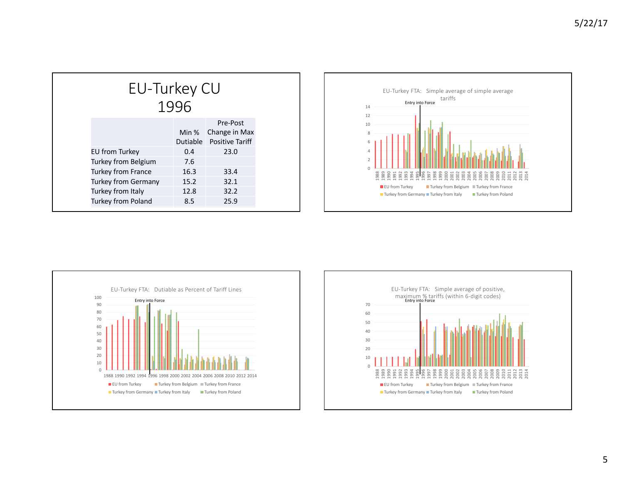| EU-Turkey CU<br>1996       |       |                                                       |  |
|----------------------------|-------|-------------------------------------------------------|--|
|                            | Min % | Pre-Post<br>Change in Max<br>Dutiable Positive Tariff |  |
| EU from Turkey             | 0.4   | 23.0                                                  |  |
| Turkey from Belgium        | 7.6   |                                                       |  |
| <b>Turkey from France</b>  | 16.3  | 33.4                                                  |  |
| <b>Turkey from Germany</b> | 15.2  | 32.1                                                  |  |
| Turkey from Italy          | 12.8  | 32.2                                                  |  |
| Turkey from Poland         | 8.5   | 25.9                                                  |  |





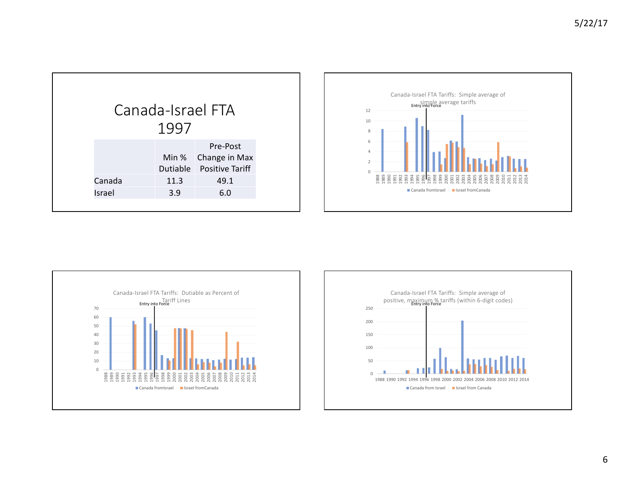|        | 1997 | Canada-Israel FTA                                           |
|--------|------|-------------------------------------------------------------|
|        |      | Pre-Post<br>Min % Change in Max<br>Dutiable Positive Tariff |
| Canada | 11.3 | 49.1                                                        |
| Israel | 3.9  | 6.0                                                         |
|        |      |                                                             |





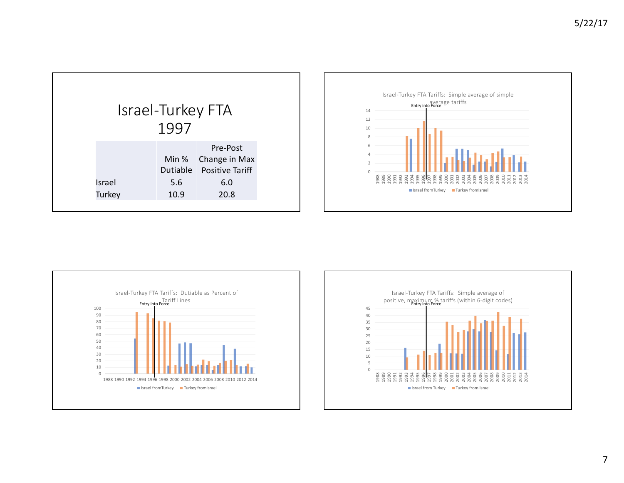| Israel-Turkey FTA<br>1997 |               |          |                                                           |  |
|---------------------------|---------------|----------|-----------------------------------------------------------|--|
|                           |               |          |                                                           |  |
|                           |               | Dutiable | Pre-Post<br>Min % Change in Max<br><b>Positive Tariff</b> |  |
|                           | <b>Israel</b> | 5.6      | 6.0                                                       |  |
|                           | Turkey        | 10.9     | 20.8                                                      |  |
|                           |               |          |                                                           |  |





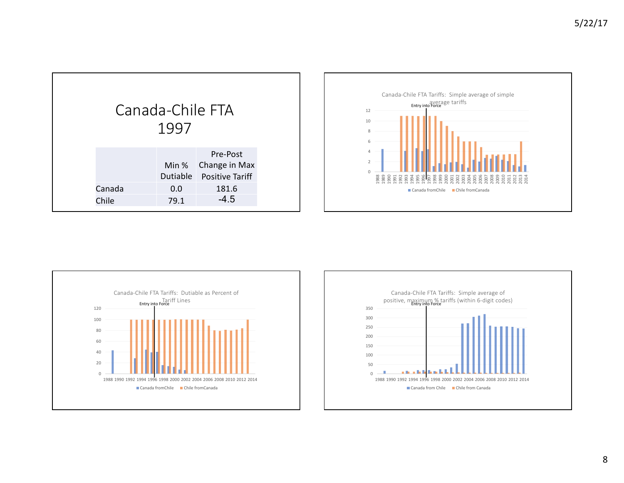



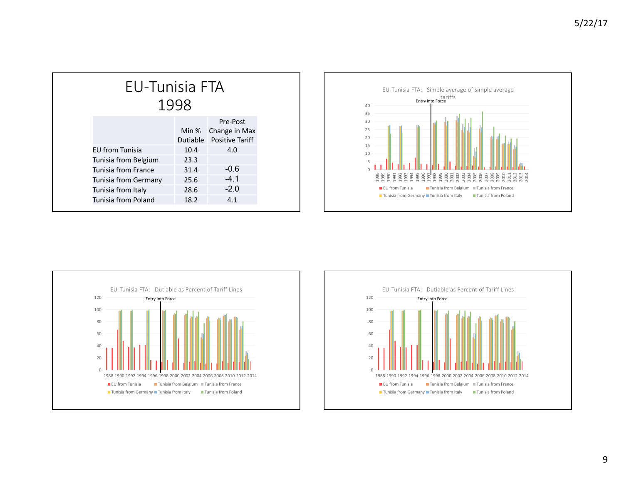| EU-Tunisia FTA<br>1998     |      |                                                             |  |
|----------------------------|------|-------------------------------------------------------------|--|
|                            |      | Pre-Post<br>Min % Change in Max<br>Dutiable Positive Tariff |  |
| <b>FU from Tunisia</b>     | 10.4 | 4.0                                                         |  |
| Tunisia from Belgium       | 23.3 |                                                             |  |
| <b>Tunisia from France</b> | 31.4 | $-0.6$                                                      |  |
| Tunisia from Germany       | 25.6 | $-4.1$                                                      |  |
| Tunisia from Italy         | 28.6 | $-2.0$                                                      |  |
| Tunisia from Poland        | 18.2 | 4.1                                                         |  |





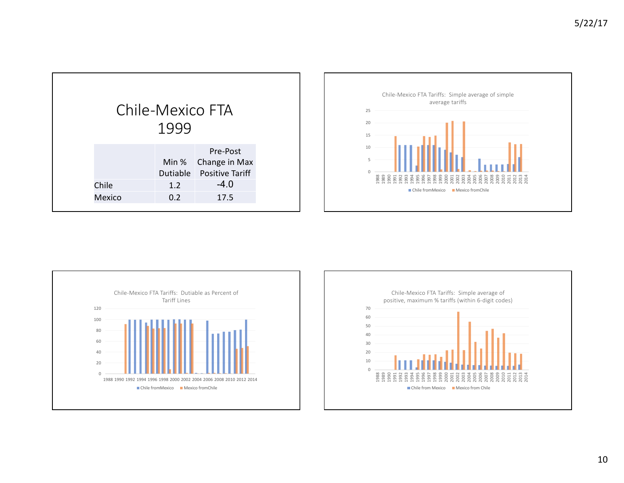| Chile-Mexico FTA<br>1999<br>Pre-Post            |
|-------------------------------------------------|
|                                                 |
| Min % Change in Max<br>Dutiable Positive Tariff |
| $-4.0$<br>Chile<br>1.2                          |
| 17.5<br>0.2<br>Mexico                           |





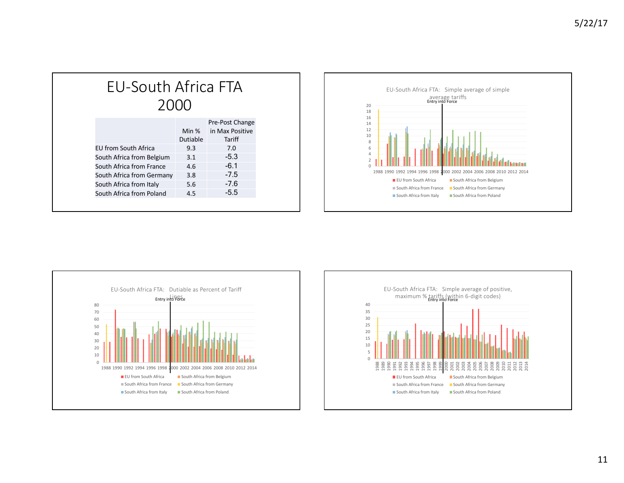# EU-South Africa FTA

| Pre-Post Change |
|-----------------|
| in Max Positive |
| Tariff          |
| 7.0             |
| $-5.3$          |
| $-6.1$          |
| $-7.5$          |
| $-7.6$          |
| $-5.5$          |
|                 |





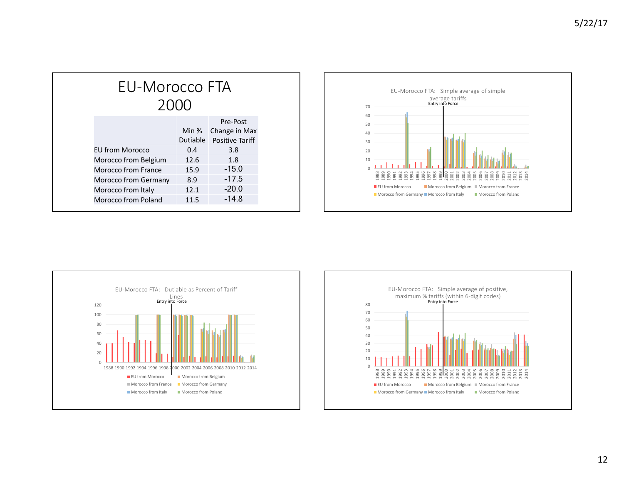| EU-Morocco FTA<br>2000 |                   |                                                     |
|------------------------|-------------------|-----------------------------------------------------|
|                        | Min %<br>Dutiable | Pre-Post<br>Change in Max<br><b>Positive Tariff</b> |
| <b>FU from Morocco</b> | 0.4               | 3.8                                                 |
| Morocco from Belgium   | 12.6              | 1.8                                                 |
| Morocco from France    | 15.9              | $-15.0$                                             |
| Morocco from Germany   | 8.9               | $-17.5$                                             |
| Morocco from Italy     | 12.1              | $-20.0$                                             |
| Morocco from Poland    | 11.5              | $-14.8$                                             |





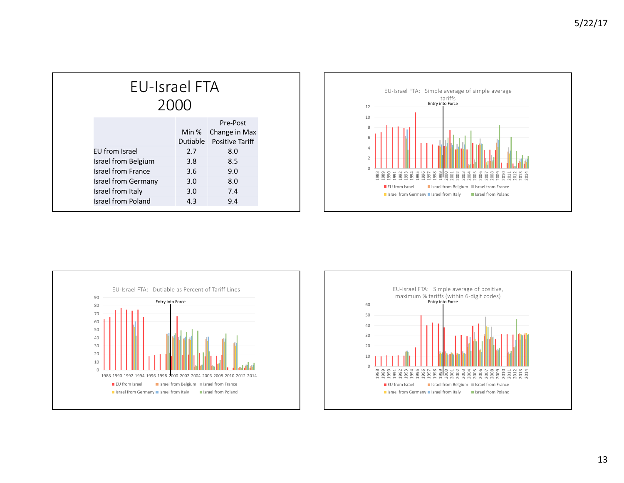| <b>EU-Israel FTA</b><br>2000 |                   |                                                     |
|------------------------------|-------------------|-----------------------------------------------------|
|                              | Min %<br>Dutiable | Pre-Post<br>Change in Max<br><b>Positive Tariff</b> |
| EU from Israel               | 2.7               | 8.0                                                 |
| Israel from Belgium          | 3.8               | 8.5                                                 |
| <b>Israel from France</b>    | 3.6               | 9.0                                                 |
| <b>Israel from Germany</b>   | 3.0               | 8.0                                                 |
| Israel from Italy            | 3.0               | 7.4                                                 |
| Israel from Poland           | 4.3               | 9.4                                                 |





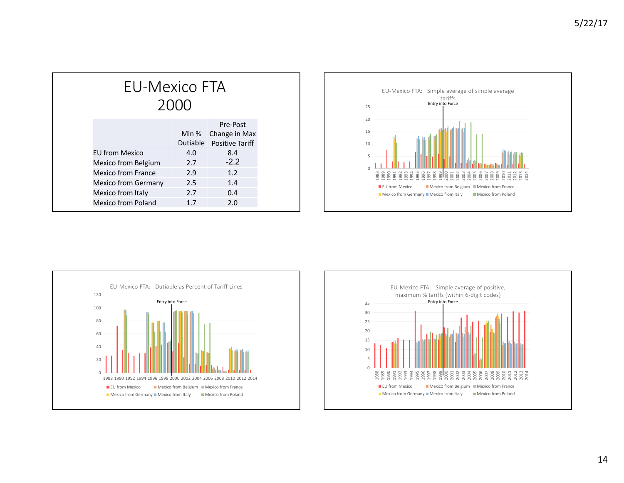| EU-Mexico FTA         | 2000              |                                                     |
|-----------------------|-------------------|-----------------------------------------------------|
|                       | Min %<br>Dutiable | Pre-Post<br>Change in Max<br><b>Positive Tariff</b> |
| <b>FU from Mexico</b> | 4.0               | 8.4                                                 |
| Mexico from Belgium   | 2.7               | $-2.2$                                              |
| Mexico from France    | 2.9               | 1.2                                                 |
| Mexico from Germany   | 2.5               | 1.4                                                 |
| Mexico from Italy     | 2.7               | 0.4                                                 |
| Mexico from Poland    | 1.7               | 2.0                                                 |





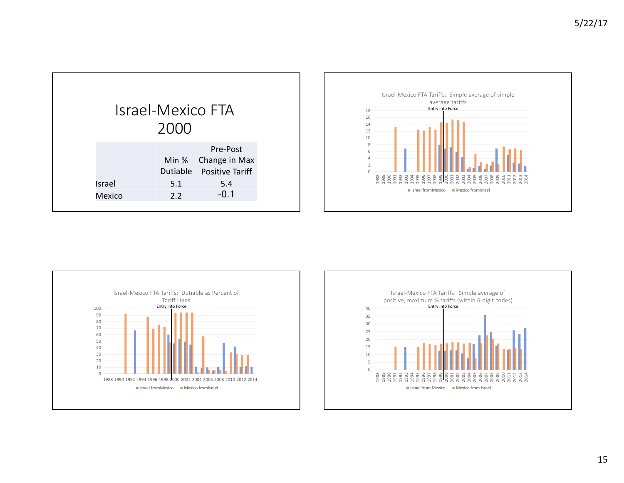| <b>Israel-Mexico FTA</b> |     |                                                             |
|--------------------------|-----|-------------------------------------------------------------|
| 2000                     |     |                                                             |
|                          |     | Pre-Post<br>Min % Change in Max<br>Dutiable Positive Tariff |
| Israel                   | 5.1 | 5.4                                                         |
| <b>Mexico</b>            | 2.2 | $-0.1$                                                      |
|                          |     |                                                             |





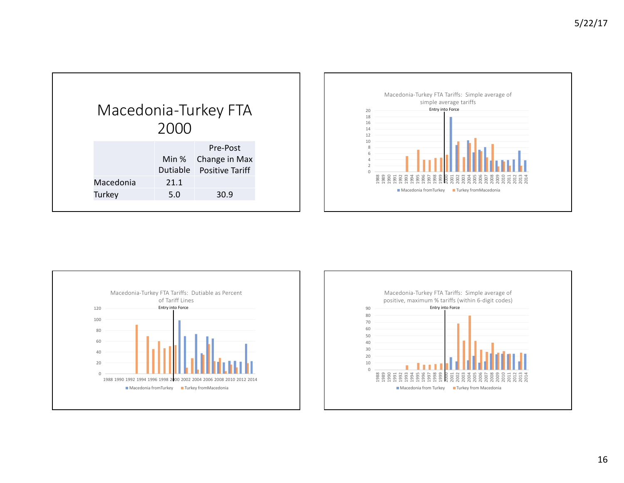| Macedonia-Turkey FTA | 2000                 |                                                               |
|----------------------|----------------------|---------------------------------------------------------------|
| Macedonia<br>Turkey  | Min %<br>21.1<br>5.0 | Pre-Post<br>Change in Max<br>Dutiable Positive Tariff<br>30.9 |





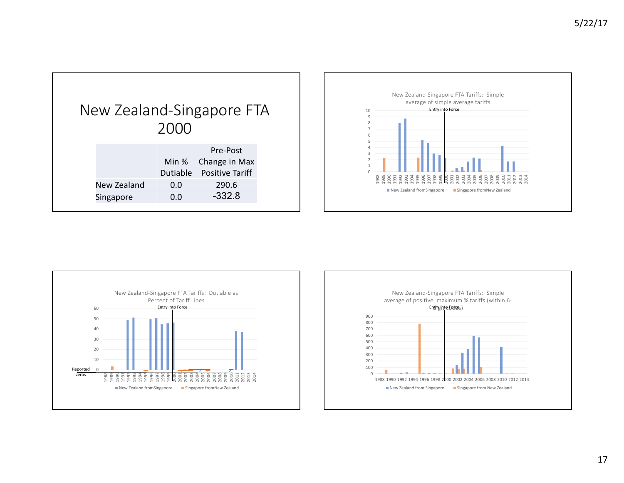| New Zealand-Singapore FTA | 2000                              |                                                                          |  |
|---------------------------|-----------------------------------|--------------------------------------------------------------------------|--|
| New Zealand<br>Singapore  | Min $%$<br>Dutiable<br>0.0<br>0.0 | Pre-Post<br>Change in Max<br><b>Positive Tariff</b><br>290.6<br>$-332.8$ |  |





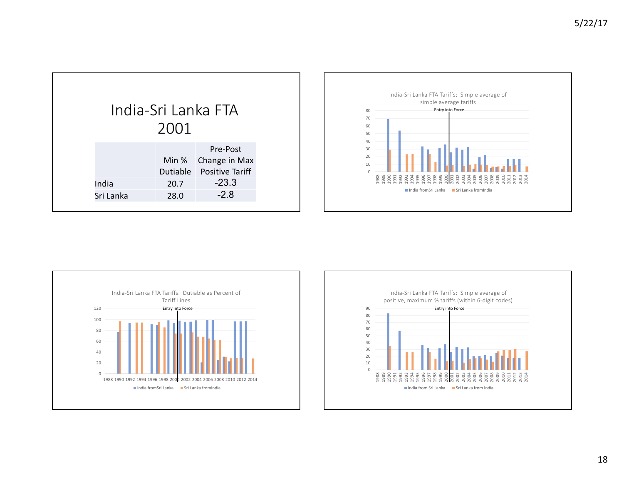| India-Sri Lanka FTA |      |                                                             |  |
|---------------------|------|-------------------------------------------------------------|--|
|                     | 2001 |                                                             |  |
|                     |      | Pre-Post<br>Min % Change in Max<br>Dutiable Positive Tariff |  |
| India               | 20.7 | $-23.3$                                                     |  |
| Sri Lanka           | 28.0 | $-2.8$                                                      |  |
|                     |      |                                                             |  |





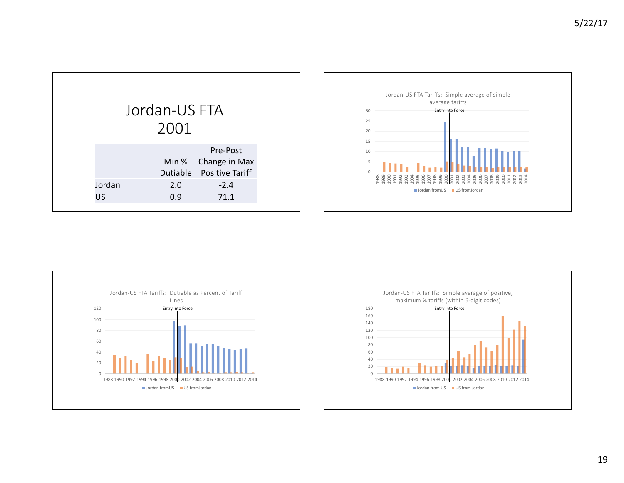| Jordan-US FTA<br>2001<br>Pre-Post<br>Min % Change in Max |
|----------------------------------------------------------|
|                                                          |
|                                                          |
| Dutiable Positive Tariff                                 |
| Jordan<br>2.0<br>$-2.4$                                  |
| 71.1<br>US<br>0.9                                        |





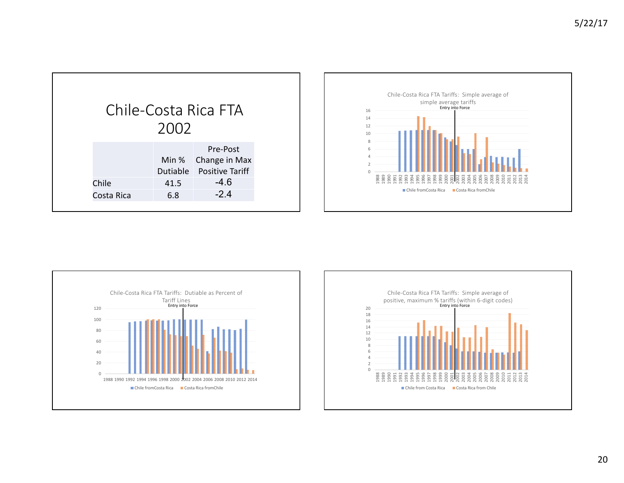| Chile-Costa Rica FTA |       |                                                       |  |
|----------------------|-------|-------------------------------------------------------|--|
|                      | 2002  |                                                       |  |
|                      | Min % | Pre-Post<br>Change in Max<br>Dutiable Positive Tariff |  |
| Chile                | 41.5  | $-4.6$                                                |  |
| Costa Rica           | 6.8   | $-2.4$                                                |  |
|                      |       |                                                       |  |





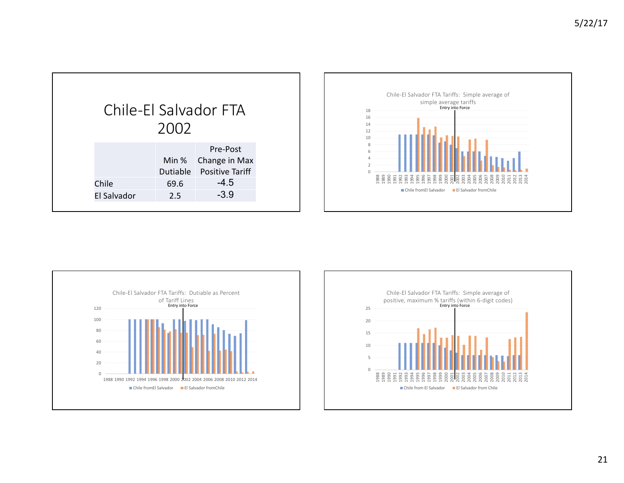| Chile-El Salvador FTA       | 2002        |                                                                                 |
|-----------------------------|-------------|---------------------------------------------------------------------------------|
| Chile<br><b>El Salvador</b> | 69.6<br>2.5 | Pre-Post<br>Min % Change in Max<br>Dutiable Positive Tariff<br>$-4.5$<br>$-3.9$ |





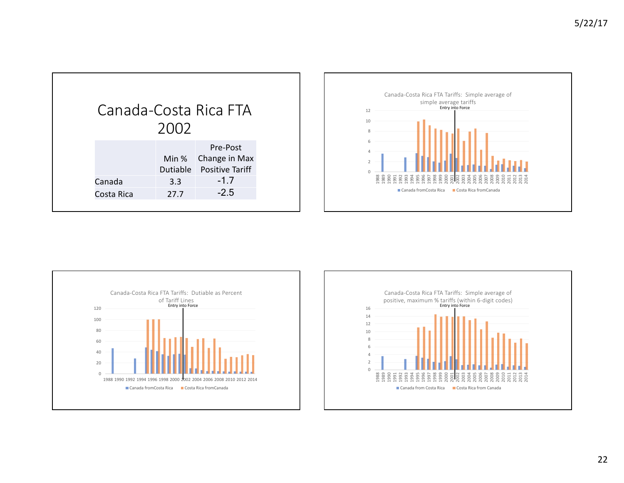|            |      | Canada-Costa Rica FTA                                       |
|------------|------|-------------------------------------------------------------|
|            | 2002 |                                                             |
|            |      | Pre-Post<br>Min % Change in Max<br>Dutiable Positive Tariff |
| Canada     | 3.3  | $-1.7$                                                      |
| Costa Rica | 27.7 | $-2.5$                                                      |
|            |      |                                                             |





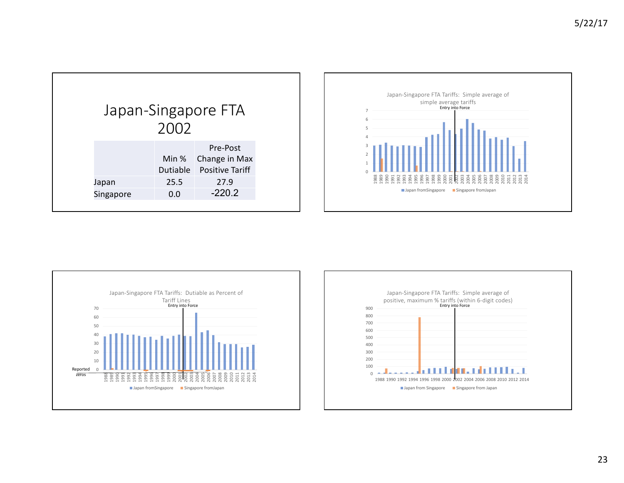| Japan-Singapore FTA<br>2002 |           |      |                                                             |
|-----------------------------|-----------|------|-------------------------------------------------------------|
|                             |           |      |                                                             |
|                             |           |      | Pre-Post<br>Min % Change in Max<br>Dutiable Positive Tariff |
| Japan                       |           | 25.5 | 27.9                                                        |
|                             | Singapore | 0.0  | $-220.2$                                                    |
|                             |           |      |                                                             |





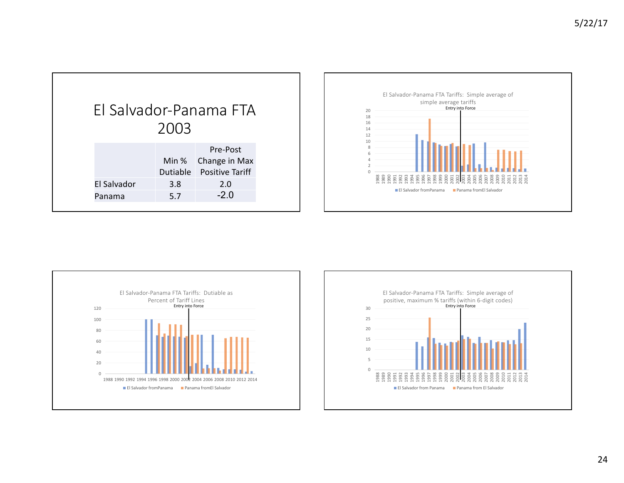| El Salvador-Panama FTA |      |                                                                    |
|------------------------|------|--------------------------------------------------------------------|
|                        | 2003 |                                                                    |
| El Salvador            | 3.8  | Pre-Post<br>Min % Change in Max<br>Dutiable Positive Tariff<br>2.0 |
| Panama                 | 5.7  | $-2.0$                                                             |
|                        |      |                                                                    |





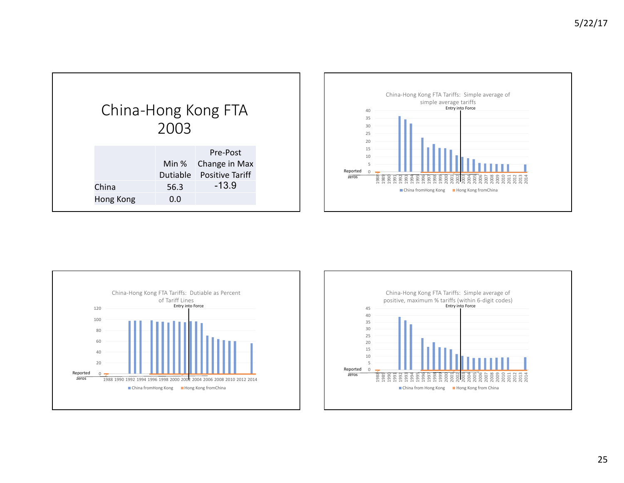| China-Hong Kong FTA | 2003        |                                                                        |
|---------------------|-------------|------------------------------------------------------------------------|
| China<br>Hong Kong  | 56.3<br>0.0 | Pre-Post<br>Min % Change in Max<br>Dutiable Positive Tariff<br>$-13.9$ |





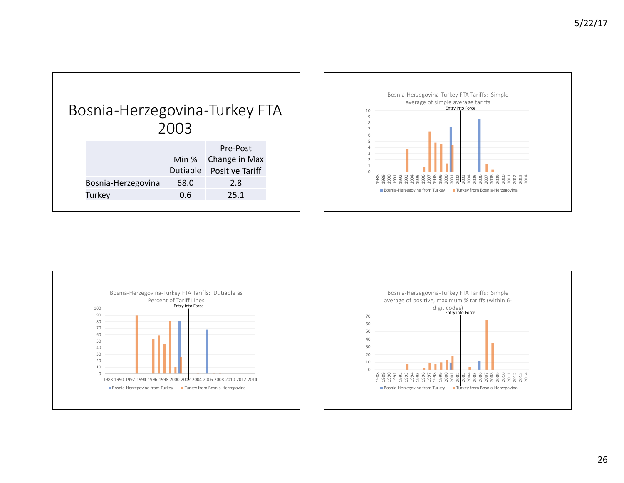





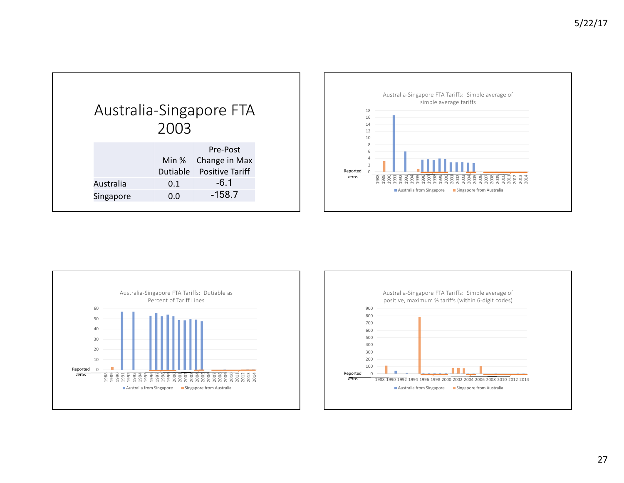|           |                   | Australia-Singapore FTA                             |
|-----------|-------------------|-----------------------------------------------------|
|           | 2003              |                                                     |
|           | Min %<br>Dutiable | Pre-Post<br>Change in Max<br><b>Positive Tariff</b> |
| Australia | 0.1               | $-6.1$                                              |
| Singapore | 0.0               | $-158.7$                                            |





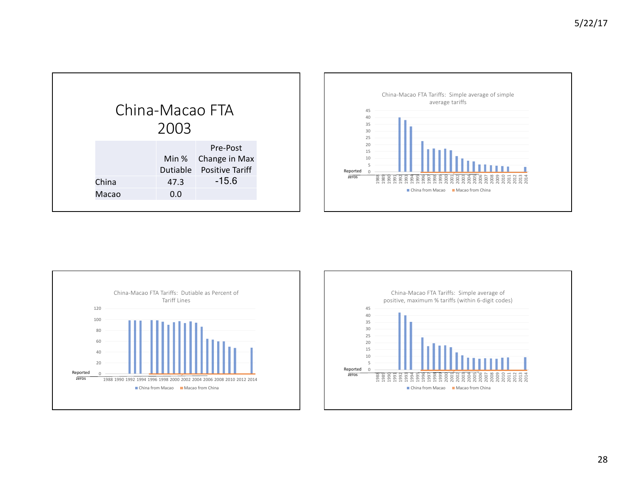| China-Macao FTA<br>2003 |                   |                                                     |  |
|-------------------------|-------------------|-----------------------------------------------------|--|
|                         | Min %<br>Dutiable | Pre-Post<br>Change in Max<br><b>Positive Tariff</b> |  |
| China                   | 47.3              | $-15.6$                                             |  |
| Macao                   | 0.0               |                                                     |  |
|                         |                   |                                                     |  |





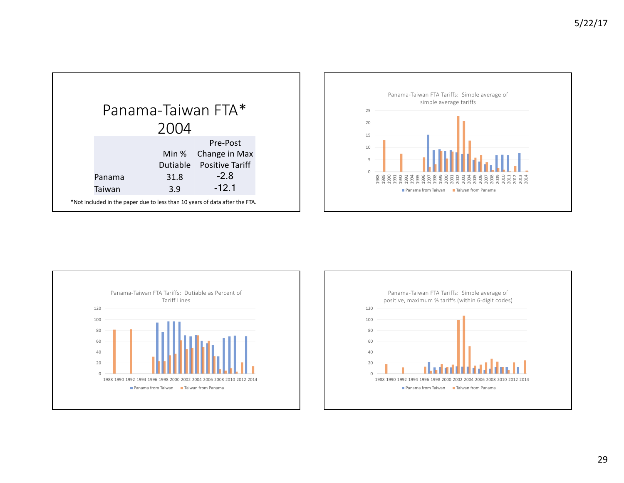| Panama-Taiwan FTA*                                                          |          |                        |  |
|-----------------------------------------------------------------------------|----------|------------------------|--|
|                                                                             | 2004     |                        |  |
|                                                                             |          | Pre-Post               |  |
|                                                                             |          | Min % Change in Max    |  |
|                                                                             | Dutiable | <b>Positive Tariff</b> |  |
| Panama                                                                      | 31.8     | $-2.8$                 |  |
| Taiwan                                                                      | 3.9      | $-12.1$                |  |
| *Not included in the paper due to less than 10 years of data after the FTA. |          |                        |  |





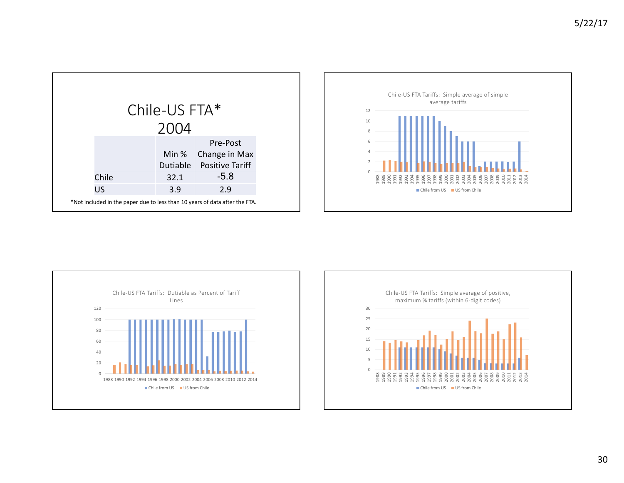| Chile-US FTA* |                                                                             |       |                          |  |
|---------------|-----------------------------------------------------------------------------|-------|--------------------------|--|
|               |                                                                             | 2004  |                          |  |
|               |                                                                             |       | Pre-Post                 |  |
|               |                                                                             | Min % | Change in Max            |  |
|               |                                                                             |       | Dutiable Positive Tariff |  |
|               | Chile                                                                       | 32.1  | $-5.8$                   |  |
|               | US                                                                          | 3.9   | 2.9                      |  |
|               | *Not included in the paper due to less than 10 years of data after the FTA. |       |                          |  |





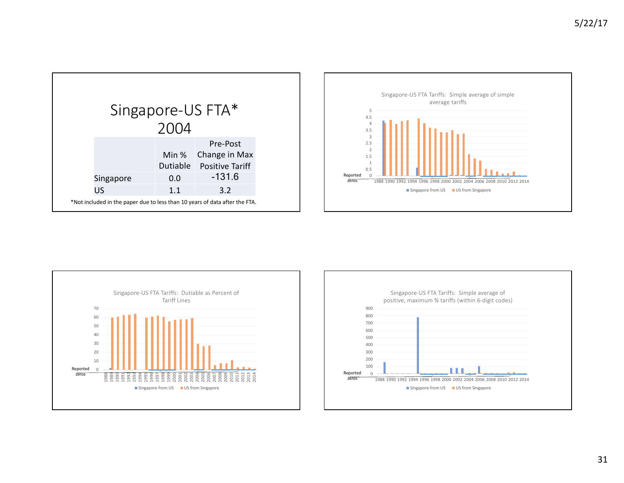| Singapore-US FTA* |                                                                             |       |                          |
|-------------------|-----------------------------------------------------------------------------|-------|--------------------------|
|                   |                                                                             | 2004  |                          |
|                   |                                                                             |       | Pre-Post                 |
|                   |                                                                             | Min % | Change in Max            |
|                   |                                                                             |       | Dutiable Positive Tariff |
|                   | Singapore                                                                   | 0.0   | $-131.6$                 |
|                   | US                                                                          | 1.1   | 3.2                      |
|                   | *Not included in the paper due to less than 10 years of data after the FTA. |       |                          |





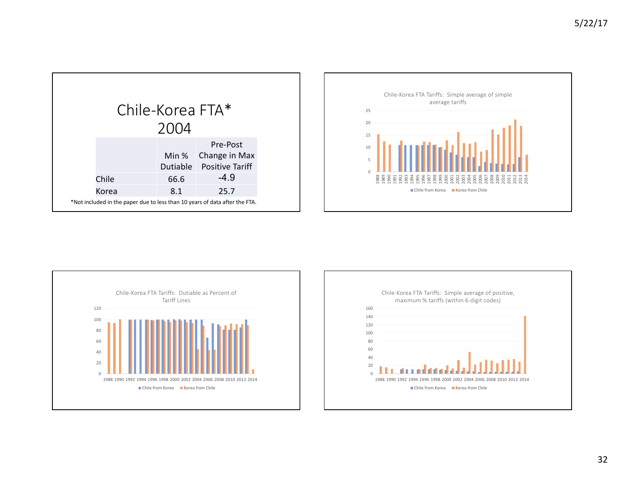| Chile-Korea FTA*                                                            |      |                                                             |  |
|-----------------------------------------------------------------------------|------|-------------------------------------------------------------|--|
|                                                                             | 2004 |                                                             |  |
|                                                                             |      | Pre-Post<br>Min % Change in Max<br>Dutiable Positive Tariff |  |
| Chile                                                                       | 66.6 | $-4.9$                                                      |  |
| Korea                                                                       | 8.1  | 25.7                                                        |  |
| *Not included in the paper due to less than 10 years of data after the FTA. |      |                                                             |  |